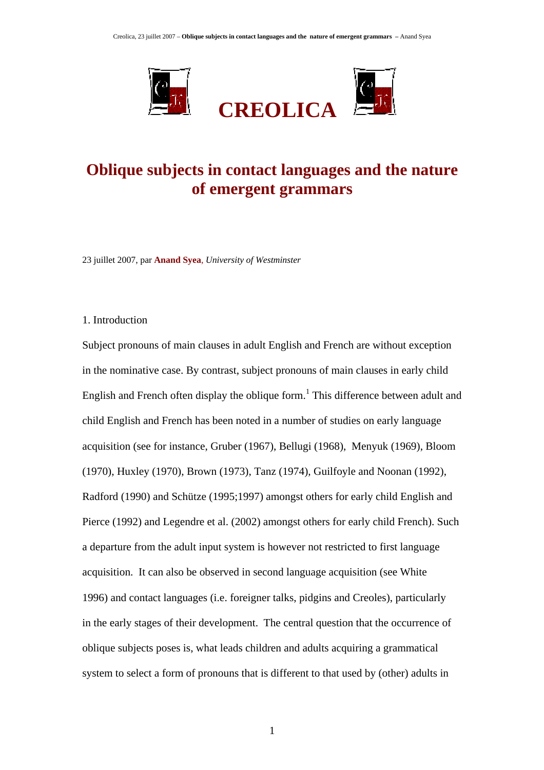

# **Oblique subjects in contact languages and the nature of emergent grammars**

23 juillet 2007, par **Anand Syea**, *University of Westminster*

#### 1. Introduction

Subject pronouns of main clauses in adult English and French are without exception in the nominative case. By contrast, subject pronouns of main clauses in early child English and French often display the oblique form.<sup>1</sup> This difference between adult and child English and French has been noted in a number of studies on early language acquisition (see for instance, Gruber (1967), Bellugi (1968), Menyuk (1969), Bloom (1970), Huxley (1970), Brown (1973), Tanz (1974), Guilfoyle and Noonan (1992), Radford (1990) and Schütze (1995;1997) amongst others for early child English and Pierce (1992) and Legendre et al. (2002) amongst others for early child French). Such a departure from the adult input system is however not restricted to first language acquisition. It can also be observed in second language acquisition (see White 1996) and contact languages (i.e. foreigner talks, pidgins and Creoles), particularly in the early stages of their development. The central question that the occurrence of oblique subjects poses is, what leads children and adults acquiring a grammatical system to select a form of pronouns that is different to that used by (other) adults in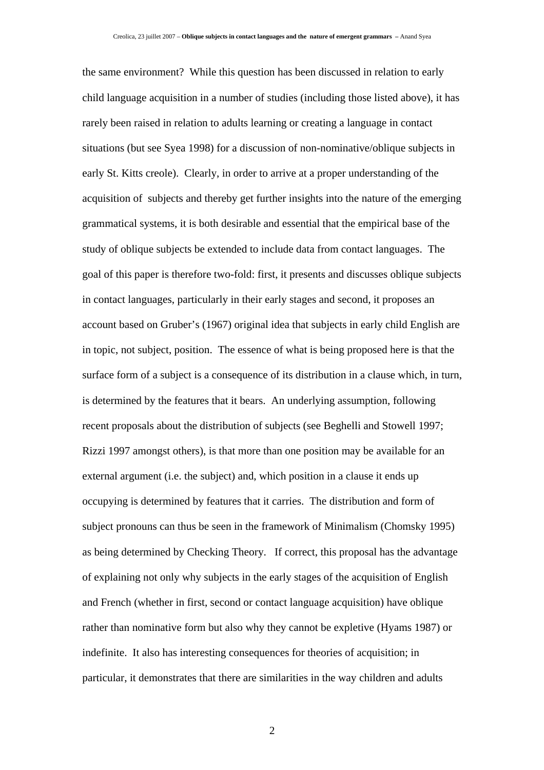the same environment? While this question has been discussed in relation to early child language acquisition in a number of studies (including those listed above), it has rarely been raised in relation to adults learning or creating a language in contact situations (but see Syea 1998) for a discussion of non-nominative/oblique subjects in early St. Kitts creole). Clearly, in order to arrive at a proper understanding of the acquisition of subjects and thereby get further insights into the nature of the emerging grammatical systems, it is both desirable and essential that the empirical base of the study of oblique subjects be extended to include data from contact languages. The goal of this paper is therefore two-fold: first, it presents and discusses oblique subjects in contact languages, particularly in their early stages and second, it proposes an account based on Gruber's (1967) original idea that subjects in early child English are in topic, not subject, position. The essence of what is being proposed here is that the surface form of a subject is a consequence of its distribution in a clause which, in turn, is determined by the features that it bears. An underlying assumption, following recent proposals about the distribution of subjects (see Beghelli and Stowell 1997; Rizzi 1997 amongst others), is that more than one position may be available for an external argument (i.e. the subject) and, which position in a clause it ends up occupying is determined by features that it carries. The distribution and form of subject pronouns can thus be seen in the framework of Minimalism (Chomsky 1995) as being determined by Checking Theory. If correct, this proposal has the advantage of explaining not only why subjects in the early stages of the acquisition of English and French (whether in first, second or contact language acquisition) have oblique rather than nominative form but also why they cannot be expletive (Hyams 1987) or indefinite. It also has interesting consequences for theories of acquisition; in particular, it demonstrates that there are similarities in the way children and adults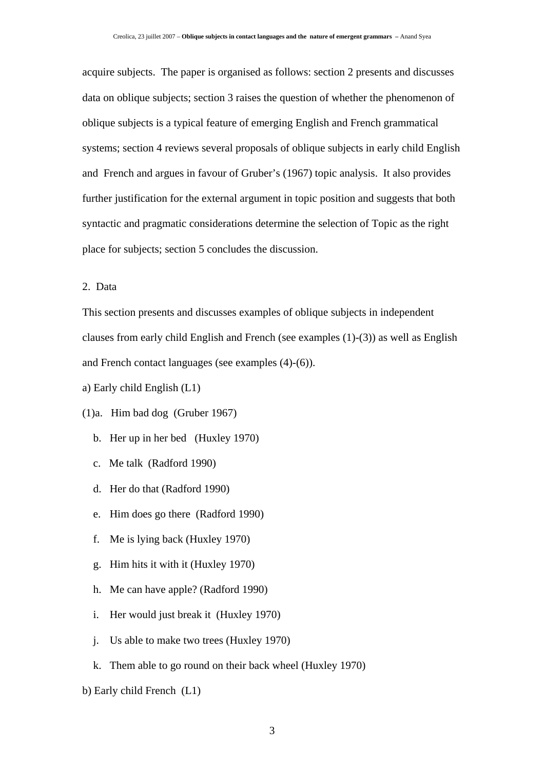acquire subjects. The paper is organised as follows: section 2 presents and discusses data on oblique subjects; section 3 raises the question of whether the phenomenon of oblique subjects is a typical feature of emerging English and French grammatical systems; section 4 reviews several proposals of oblique subjects in early child English and French and argues in favour of Gruber's (1967) topic analysis. It also provides further justification for the external argument in topic position and suggests that both syntactic and pragmatic considerations determine the selection of Topic as the right place for subjects; section 5 concludes the discussion.

2. Data

This section presents and discusses examples of oblique subjects in independent clauses from early child English and French (see examples (1)-(3)) as well as English and French contact languages (see examples (4)-(6)).

a) Early child English (L1)

## (1)a. Him bad dog (Gruber 1967)

- b. Her up in her bed (Huxley 1970)
- c. Me talk (Radford 1990)
- d. Her do that (Radford 1990)
- e. Him does go there (Radford 1990)
- f. Me is lying back (Huxley 1970)
- g. Him hits it with it (Huxley 1970)
- h. Me can have apple? (Radford 1990)
- i. Her would just break it (Huxley 1970)
- j. Us able to make two trees (Huxley 1970)
- k. Them able to go round on their back wheel (Huxley 1970)
- b) Early child French (L1)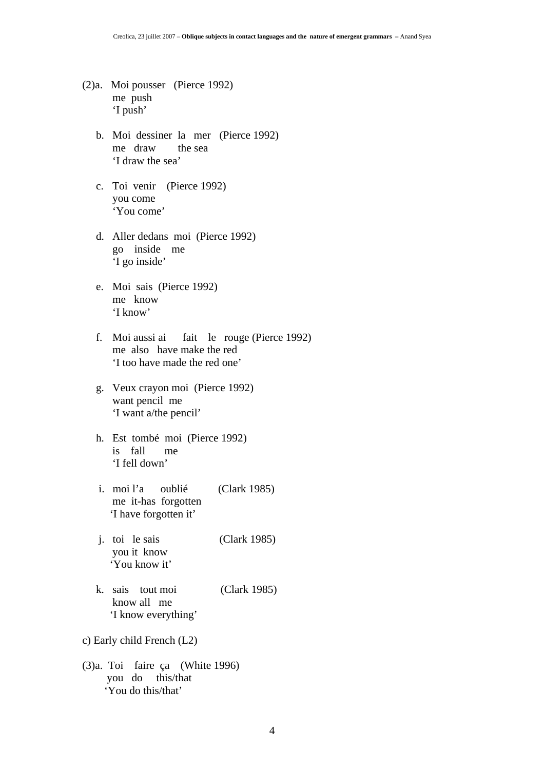- (2)a. Moi pousser (Pierce 1992) me push 'I push'
	- b. Moi dessiner la mer (Pierce 1992) me draw the sea 'I draw the sea'
	- c. Toi venir (Pierce 1992) you come 'You come'
	- d. Aller dedans moi (Pierce 1992) go inside me 'I go inside'
	- e. Moi sais (Pierce 1992) me know 'I know'
	- f. Moi aussi ai fait le rouge (Pierce 1992) me also have make the red 'I too have made the red one'
	- g. Veux crayon moi (Pierce 1992) want pencil me 'I want a/the pencil'
	- h. Est tombé moi (Pierce 1992) is fall me 'I fell down'
	- i. moi l'a oublié (Clark 1985) me it-has forgotten 'I have forgotten it'
	- j. toi le sais (Clark 1985) you it know 'You know it'
	- k. sais tout moi (Clark 1985) know all me 'I know everything'
- c) Early child French (L2)
- (3)a. Toi faire ça (White 1996) you do this/that 'You do this/that'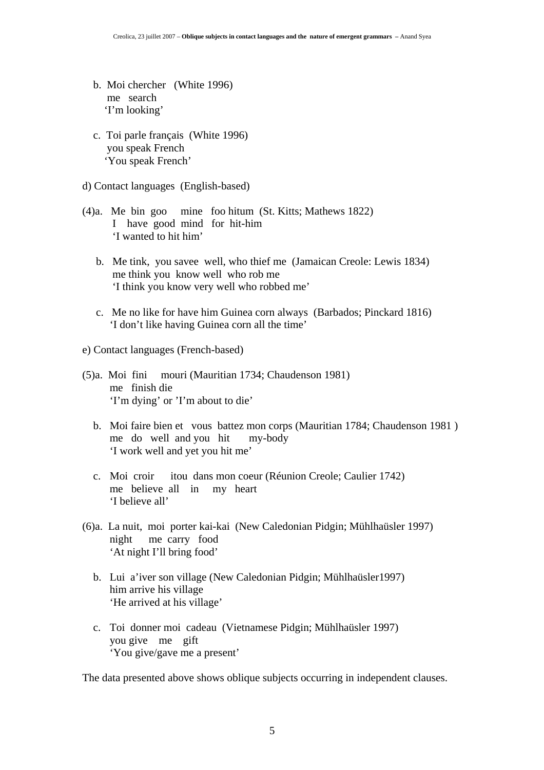- b. Moi chercher (White 1996) me search 'I'm looking'
- c. Toi parle français (White 1996) you speak French 'You speak French'
- d) Contact languages (English-based)
- (4)a. Me bin goo mine foo hitum (St. Kitts; Mathews 1822) I have good mind for hit-him 'I wanted to hit him'
	- b. Me tink, you savee well, who thief me (Jamaican Creole: Lewis 1834) me think you know well who rob me 'I think you know very well who robbed me'
	- c. Me no like for have him Guinea corn always (Barbados; Pinckard 1816) 'I don't like having Guinea corn all the time'
- e) Contact languages (French-based)
- (5)a. Moi fini mouri (Mauritian 1734; Chaudenson 1981) me finish die 'I'm dying' or 'I'm about to die'
	- b. Moi faire bien et vous battez mon corps (Mauritian 1784; Chaudenson 1981 ) me do well and you hit my-body 'I work well and yet you hit me'
	- c. Moi croir itou dans mon coeur (Réunion Creole; Caulier 1742) me believe all in my heart 'I believe all'
- (6)a. La nuit, moi porter kai-kai (New Caledonian Pidgin; Mühlhaüsler 1997) night me carry food 'At night I'll bring food'
	- b. Lui a'iver son village (New Caledonian Pidgin; Mühlhaüsler1997) him arrive his village 'He arrived at his village'
	- c. Toi donner moi cadeau (Vietnamese Pidgin; Mühlhaüsler 1997) you give me gift 'You give/gave me a present'

The data presented above shows oblique subjects occurring in independent clauses.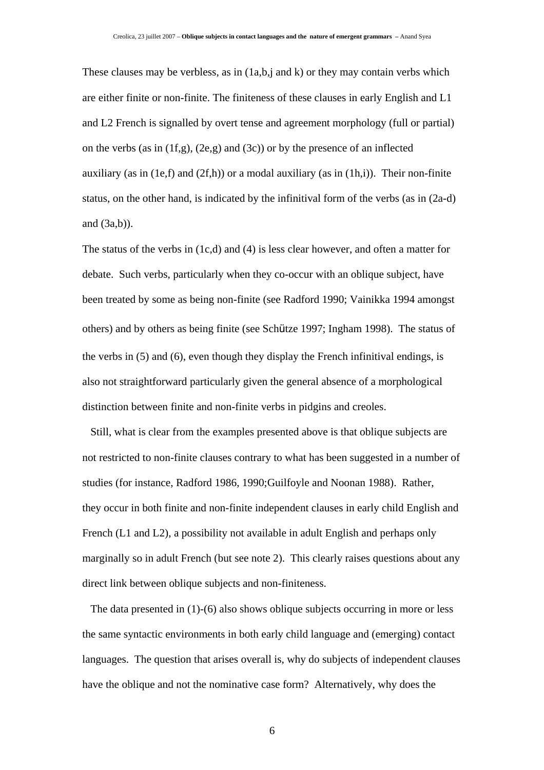These clauses may be verbless, as in (1a,b,j and k) or they may contain verbs which are either finite or non-finite. The finiteness of these clauses in early English and L1 and L2 French is signalled by overt tense and agreement morphology (full or partial) on the verbs (as in  $(1f,g)$ ,  $(2e,g)$  and  $(3c)$ ) or by the presence of an inflected auxiliary (as in  $(1e,f)$  and  $(2f,h)$ ) or a modal auxiliary (as in  $(1h,i)$ ). Their non-finite status, on the other hand, is indicated by the infinitival form of the verbs (as in (2a-d) and (3a,b)).

The status of the verbs in (1c,d) and (4) is less clear however, and often a matter for debate. Such verbs, particularly when they co-occur with an oblique subject, have been treated by some as being non-finite (see Radford 1990; Vainikka 1994 amongst others) and by others as being finite (see Schütze 1997; Ingham 1998). The status of the verbs in (5) and (6), even though they display the French infinitival endings, is also not straightforward particularly given the general absence of a morphological distinction between finite and non-finite verbs in pidgins and creoles.

 Still, what is clear from the examples presented above is that oblique subjects are not restricted to non-finite clauses contrary to what has been suggested in a number of studies (for instance, Radford 1986, 1990;Guilfoyle and Noonan 1988). Rather, they occur in both finite and non-finite independent clauses in early child English and French (L1 and L2), a possibility not available in adult English and perhaps only marginally so in adult French (but see note 2). This clearly raises questions about any direct link between oblique subjects and non-finiteness.

 The data presented in (1)-(6) also shows oblique subjects occurring in more or less the same syntactic environments in both early child language and (emerging) contact languages. The question that arises overall is, why do subjects of independent clauses have the oblique and not the nominative case form? Alternatively, why does the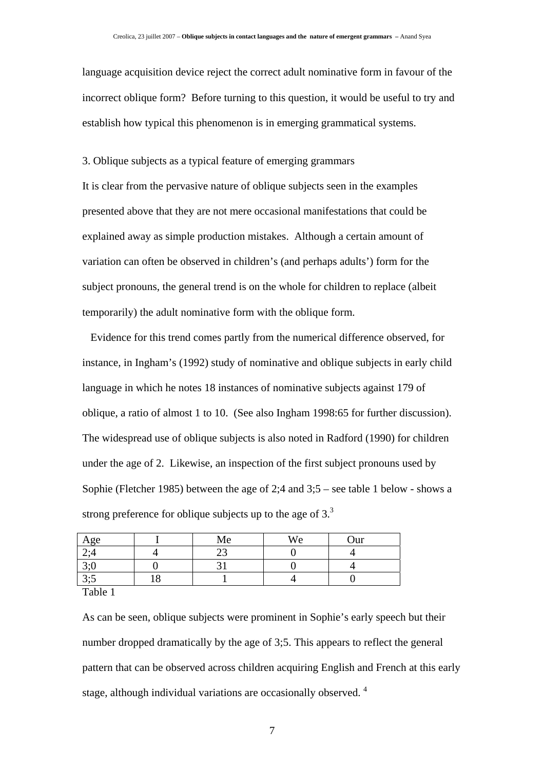language acquisition device reject the correct adult nominative form in favour of the incorrect oblique form? Before turning to this question, it would be useful to try and establish how typical this phenomenon is in emerging grammatical systems.

3. Oblique subjects as a typical feature of emerging grammars

It is clear from the pervasive nature of oblique subjects seen in the examples presented above that they are not mere occasional manifestations that could be explained away as simple production mistakes. Although a certain amount of variation can often be observed in children's (and perhaps adults') form for the subject pronouns, the general trend is on the whole for children to replace (albeit temporarily) the adult nominative form with the oblique form.

 Evidence for this trend comes partly from the numerical difference observed, for instance, in Ingham's (1992) study of nominative and oblique subjects in early child language in which he notes 18 instances of nominative subjects against 179 of oblique, a ratio of almost 1 to 10. (See also Ingham 1998:65 for further discussion). The widespread use of oblique subjects is also noted in Radford (1990) for children under the age of 2. Likewise, an inspection of the first subject pronouns used by Sophie (Fletcher 1985) between the age of 2;4 and 3;5 – see table 1 below - shows a strong preference for oblique subjects up to the age of  $3<sup>3</sup>$ .

|                               |         | Me | We | Our |
|-------------------------------|---------|----|----|-----|
| $\frac{\text{Age}}{2,4}$      |         | ر_ |    |     |
| 3;0                           |         |    |    |     |
| 3;5                           | $\circ$ |    |    |     |
| $\mathbf{m}$ 1.1 $\mathbf{m}$ |         |    |    |     |

Table 1

As can be seen, oblique subjects were prominent in Sophie's early speech but their number dropped dramatically by the age of 3;5. This appears to reflect the general pattern that can be observed across children acquiring English and French at this early stage, although individual variations are occasionally observed.<sup>4</sup>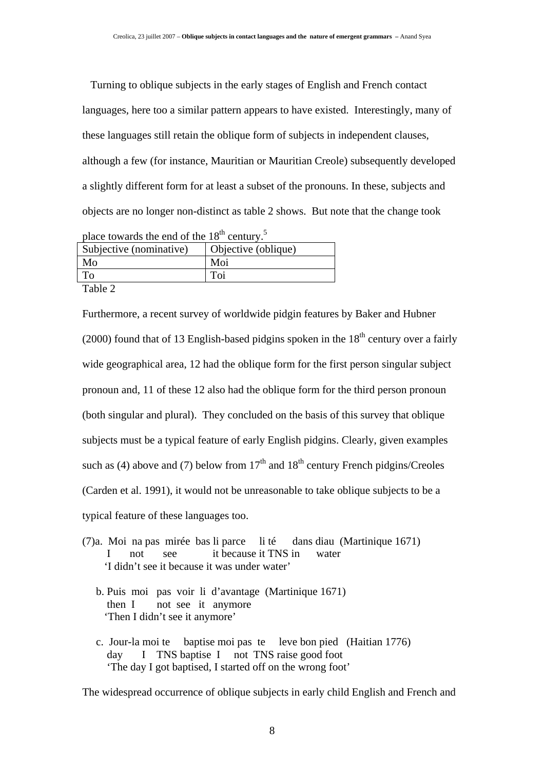Turning to oblique subjects in the early stages of English and French contact languages, here too a similar pattern appears to have existed. Interestingly, many of these languages still retain the oblique form of subjects in independent clauses, although a few (for instance, Mauritian or Mauritian Creole) subsequently developed a slightly different form for at least a subset of the pronouns. In these, subjects and objects are no longer non-distinct as table 2 shows. But note that the change took

| place towards the end of the $18^{th}$ century. <sup>5</sup> |                     |  |  |
|--------------------------------------------------------------|---------------------|--|--|
| Subjective (nominative)                                      | Objective (oblique) |  |  |
| Mo                                                           | Moi                 |  |  |
| Tо                                                           | Toi                 |  |  |
| $T-1.1.2$                                                    |                     |  |  |

Table 2

Furthermore, a recent survey of worldwide pidgin features by Baker and Hubner (2000) found that of 13 English-based pidgins spoken in the  $18<sup>th</sup>$  century over a fairly wide geographical area, 12 had the oblique form for the first person singular subject pronoun and, 11 of these 12 also had the oblique form for the third person pronoun (both singular and plural). They concluded on the basis of this survey that oblique subjects must be a typical feature of early English pidgins. Clearly, given examples such as (4) above and (7) below from  $17<sup>th</sup>$  and  $18<sup>th</sup>$  century French pidgins/Creoles (Carden et al. 1991), it would not be unreasonable to take oblique subjects to be a typical feature of these languages too.

- (7)a. Moi na pas mirée bas li parce li té dans diau (Martinique 1671) I not see it because it TNS in water 'I didn't see it because it was under water'
	- b. Puis moi pas voir li d'avantage (Martinique 1671) then I not see it anymore 'Then I didn't see it anymore'
	- c. Jour-la moi te baptise moi pas te leve bon pied (Haitian 1776) day I TNS baptise I not TNS raise good foot 'The day I got baptised, I started off on the wrong foot'

The widespread occurrence of oblique subjects in early child English and French and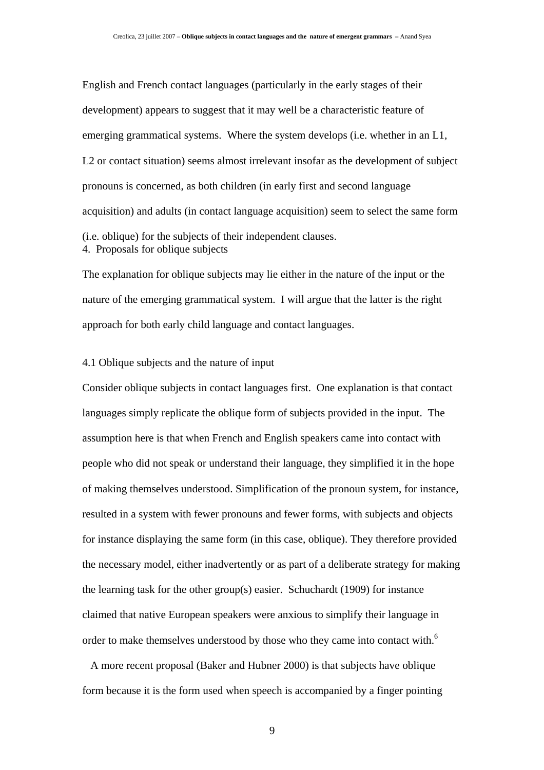English and French contact languages (particularly in the early stages of their development) appears to suggest that it may well be a characteristic feature of emerging grammatical systems. Where the system develops (i.e. whether in an L1, L2 or contact situation) seems almost irrelevant insofar as the development of subject pronouns is concerned, as both children (in early first and second language acquisition) and adults (in contact language acquisition) seem to select the same form (i.e. oblique) for the subjects of their independent clauses. 4. Proposals for oblique subjects

The explanation for oblique subjects may lie either in the nature of the input or the nature of the emerging grammatical system. I will argue that the latter is the right approach for both early child language and contact languages.

#### 4.1 Oblique subjects and the nature of input

Consider oblique subjects in contact languages first. One explanation is that contact languages simply replicate the oblique form of subjects provided in the input. The assumption here is that when French and English speakers came into contact with people who did not speak or understand their language, they simplified it in the hope of making themselves understood. Simplification of the pronoun system, for instance, resulted in a system with fewer pronouns and fewer forms, with subjects and objects for instance displaying the same form (in this case, oblique). They therefore provided the necessary model, either inadvertently or as part of a deliberate strategy for making the learning task for the other group(s) easier. Schuchardt (1909) for instance claimed that native European speakers were anxious to simplify their language in order to make themselves understood by those who they came into contact with.<sup>6</sup>

 A more recent proposal (Baker and Hubner 2000) is that subjects have oblique form because it is the form used when speech is accompanied by a finger pointing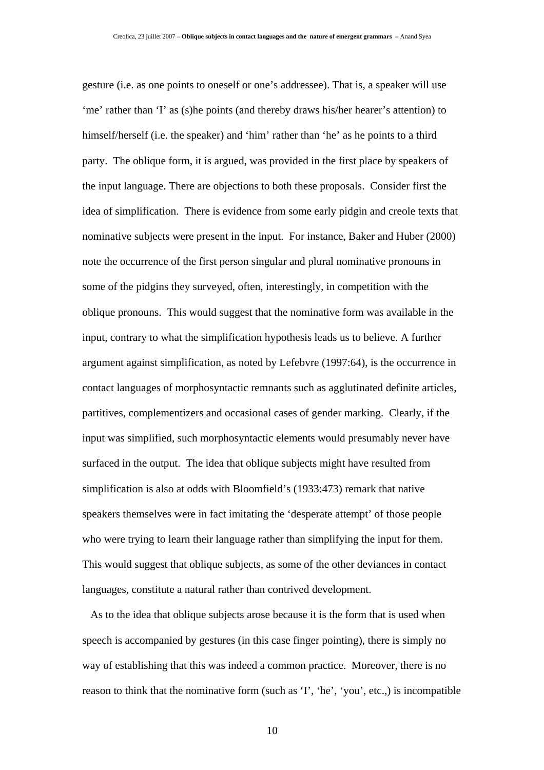gesture (i.e. as one points to oneself or one's addressee). That is, a speaker will use 'me' rather than 'I' as (s)he points (and thereby draws his/her hearer's attention) to himself/herself (i.e. the speaker) and 'him' rather than 'he' as he points to a third party. The oblique form, it is argued, was provided in the first place by speakers of the input language. There are objections to both these proposals. Consider first the idea of simplification. There is evidence from some early pidgin and creole texts that nominative subjects were present in the input. For instance, Baker and Huber (2000) note the occurrence of the first person singular and plural nominative pronouns in some of the pidgins they surveyed, often, interestingly, in competition with the oblique pronouns. This would suggest that the nominative form was available in the input, contrary to what the simplification hypothesis leads us to believe. A further argument against simplification, as noted by Lefebvre (1997:64), is the occurrence in contact languages of morphosyntactic remnants such as agglutinated definite articles, partitives, complementizers and occasional cases of gender marking. Clearly, if the input was simplified, such morphosyntactic elements would presumably never have surfaced in the output. The idea that oblique subjects might have resulted from simplification is also at odds with Bloomfield's (1933:473) remark that native speakers themselves were in fact imitating the 'desperate attempt' of those people who were trying to learn their language rather than simplifying the input for them. This would suggest that oblique subjects, as some of the other deviances in contact languages, constitute a natural rather than contrived development.

 As to the idea that oblique subjects arose because it is the form that is used when speech is accompanied by gestures (in this case finger pointing), there is simply no way of establishing that this was indeed a common practice. Moreover, there is no reason to think that the nominative form (such as 'I', 'he', 'you', etc.,) is incompatible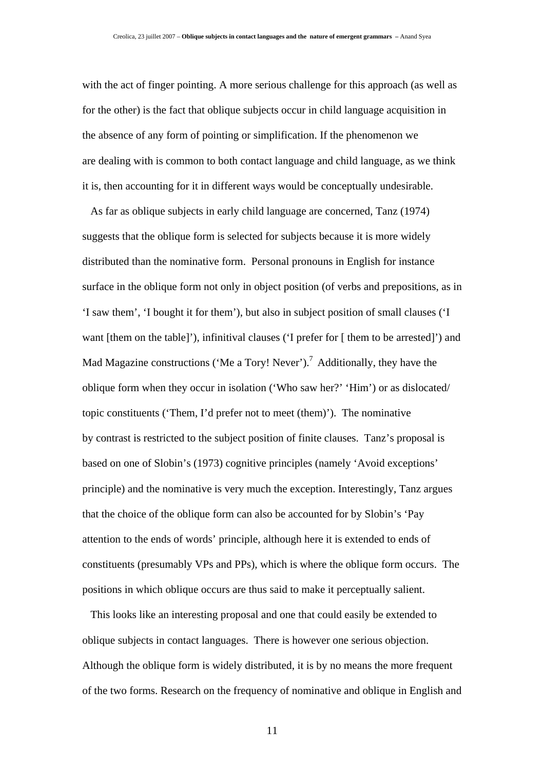with the act of finger pointing. A more serious challenge for this approach (as well as for the other) is the fact that oblique subjects occur in child language acquisition in the absence of any form of pointing or simplification. If the phenomenon we are dealing with is common to both contact language and child language, as we think it is, then accounting for it in different ways would be conceptually undesirable.

 As far as oblique subjects in early child language are concerned, Tanz (1974) suggests that the oblique form is selected for subjects because it is more widely distributed than the nominative form. Personal pronouns in English for instance surface in the oblique form not only in object position (of verbs and prepositions, as in 'I saw them', 'I bought it for them'), but also in subject position of small clauses ('I want [them on the table]'), infinitival clauses ('I prefer for [ them to be arrested]') and Mad Magazine constructions ('Me a Tory! Never').<sup>7</sup> Additionally, they have the oblique form when they occur in isolation ('Who saw her?' 'Him') or as dislocated/ topic constituents ('Them, I'd prefer not to meet (them)'). The nominative by contrast is restricted to the subject position of finite clauses. Tanz's proposal is based on one of Slobin's (1973) cognitive principles (namely 'Avoid exceptions' principle) and the nominative is very much the exception. Interestingly, Tanz argues that the choice of the oblique form can also be accounted for by Slobin's 'Pay attention to the ends of words' principle, although here it is extended to ends of constituents (presumably VPs and PPs), which is where the oblique form occurs. The positions in which oblique occurs are thus said to make it perceptually salient.

 This looks like an interesting proposal and one that could easily be extended to oblique subjects in contact languages. There is however one serious objection. Although the oblique form is widely distributed, it is by no means the more frequent of the two forms. Research on the frequency of nominative and oblique in English and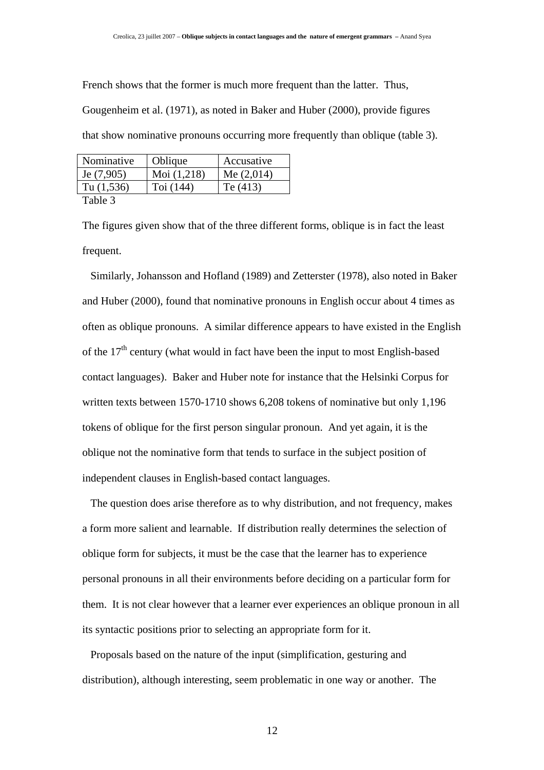French shows that the former is much more frequent than the latter. Thus,

Gougenheim et al. (1971), as noted in Baker and Huber (2000), provide figures that show nominative pronouns occurring more frequently than oblique (table 3).

| Nominative                                   | Oblique       | Accusative   |
|----------------------------------------------|---------------|--------------|
| Je $(7,905)$                                 | Moi $(1,218)$ | Me $(2,014)$ |
| Tu $(1,536)$                                 | Toi $(144)$   | Te $(413)$   |
| $T_0$ $\mathbf{L}$ $\mathbf{L}$ $\mathbf{L}$ |               |              |

Table 3

The figures given show that of the three different forms, oblique is in fact the least frequent.

 Similarly, Johansson and Hofland (1989) and Zetterster (1978), also noted in Baker and Huber (2000), found that nominative pronouns in English occur about 4 times as often as oblique pronouns. A similar difference appears to have existed in the English of the  $17<sup>th</sup>$  century (what would in fact have been the input to most English-based contact languages). Baker and Huber note for instance that the Helsinki Corpus for written texts between 1570-1710 shows 6,208 tokens of nominative but only 1,196 tokens of oblique for the first person singular pronoun. And yet again, it is the oblique not the nominative form that tends to surface in the subject position of independent clauses in English-based contact languages.

 The question does arise therefore as to why distribution, and not frequency, makes a form more salient and learnable. If distribution really determines the selection of oblique form for subjects, it must be the case that the learner has to experience personal pronouns in all their environments before deciding on a particular form for them. It is not clear however that a learner ever experiences an oblique pronoun in all its syntactic positions prior to selecting an appropriate form for it.

 Proposals based on the nature of the input (simplification, gesturing and distribution), although interesting, seem problematic in one way or another. The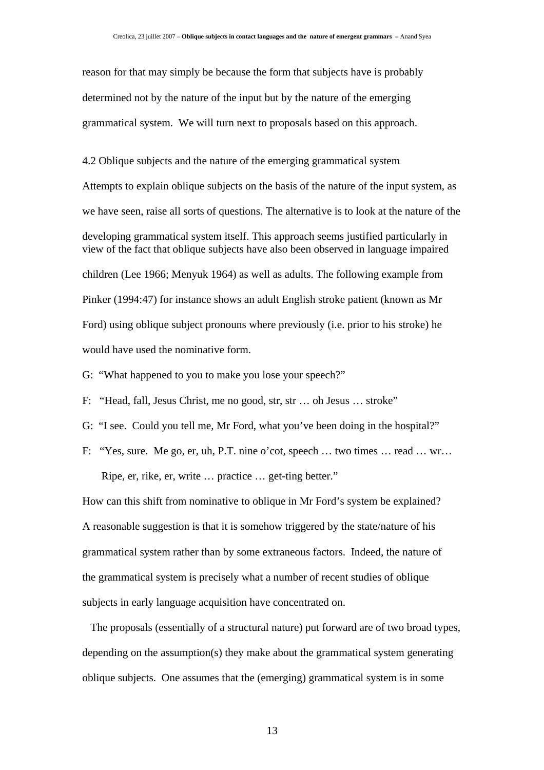reason for that may simply be because the form that subjects have is probably determined not by the nature of the input but by the nature of the emerging grammatical system. We will turn next to proposals based on this approach.

4.2 Oblique subjects and the nature of the emerging grammatical system Attempts to explain oblique subjects on the basis of the nature of the input system, as we have seen, raise all sorts of questions. The alternative is to look at the nature of the developing grammatical system itself. This approach seems justified particularly in view of the fact that oblique subjects have also been observed in language impaired children (Lee 1966; Menyuk 1964) as well as adults. The following example from Pinker (1994:47) for instance shows an adult English stroke patient (known as Mr Ford) using oblique subject pronouns where previously (i.e. prior to his stroke) he would have used the nominative form.

G: "What happened to you to make you lose your speech?"

F: "Head, fall, Jesus Christ, me no good, str, str … oh Jesus … stroke"

G: "I see. Could you tell me, Mr Ford, what you've been doing in the hospital?"

F: "Yes, sure. Me go, er, uh, P.T. nine o'cot, speech … two times … read … wr…

Ripe, er, rike, er, write … practice … get-ting better."

How can this shift from nominative to oblique in Mr Ford's system be explained? A reasonable suggestion is that it is somehow triggered by the state/nature of his grammatical system rather than by some extraneous factors. Indeed, the nature of the grammatical system is precisely what a number of recent studies of oblique subjects in early language acquisition have concentrated on.

 The proposals (essentially of a structural nature) put forward are of two broad types, depending on the assumption(s) they make about the grammatical system generating oblique subjects. One assumes that the (emerging) grammatical system is in some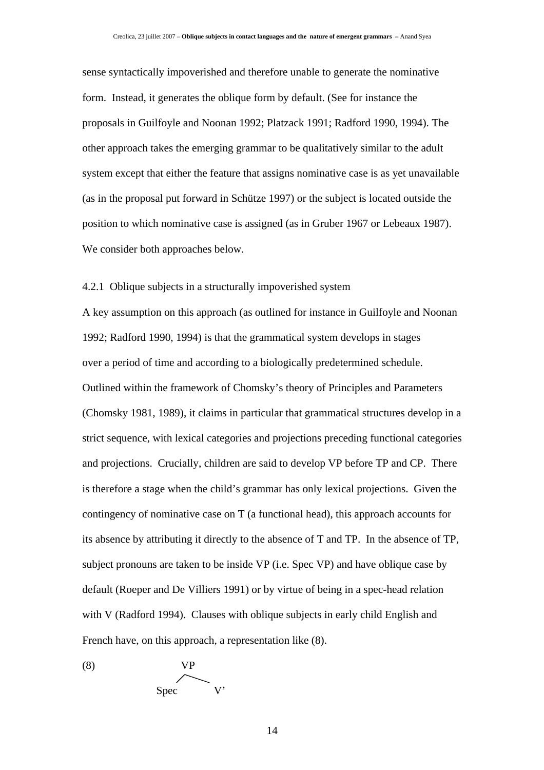sense syntactically impoverished and therefore unable to generate the nominative form. Instead, it generates the oblique form by default. (See for instance the proposals in Guilfoyle and Noonan 1992; Platzack 1991; Radford 1990, 1994). The other approach takes the emerging grammar to be qualitatively similar to the adult system except that either the feature that assigns nominative case is as yet unavailable (as in the proposal put forward in Schütze 1997) or the subject is located outside the position to which nominative case is assigned (as in Gruber 1967 or Lebeaux 1987). We consider both approaches below.

#### 4.2.1 Oblique subjects in a structurally impoverished system

A key assumption on this approach (as outlined for instance in Guilfoyle and Noonan 1992; Radford 1990, 1994) is that the grammatical system develops in stages over a period of time and according to a biologically predetermined schedule. Outlined within the framework of Chomsky's theory of Principles and Parameters (Chomsky 1981, 1989), it claims in particular that grammatical structures develop in a strict sequence, with lexical categories and projections preceding functional categories and projections. Crucially, children are said to develop VP before TP and CP. There is therefore a stage when the child's grammar has only lexical projections. Given the contingency of nominative case on T (a functional head), this approach accounts for its absence by attributing it directly to the absence of T and TP. In the absence of TP, subject pronouns are taken to be inside VP (i.e. Spec VP) and have oblique case by default (Roeper and De Villiers 1991) or by virtue of being in a spec-head relation with V (Radford 1994). Clauses with oblique subjects in early child English and French have, on this approach, a representation like (8).

$$
\begin{array}{c}\n\text{(8)} \\
\text{Spec} \\
\text{V'}\n\end{array}
$$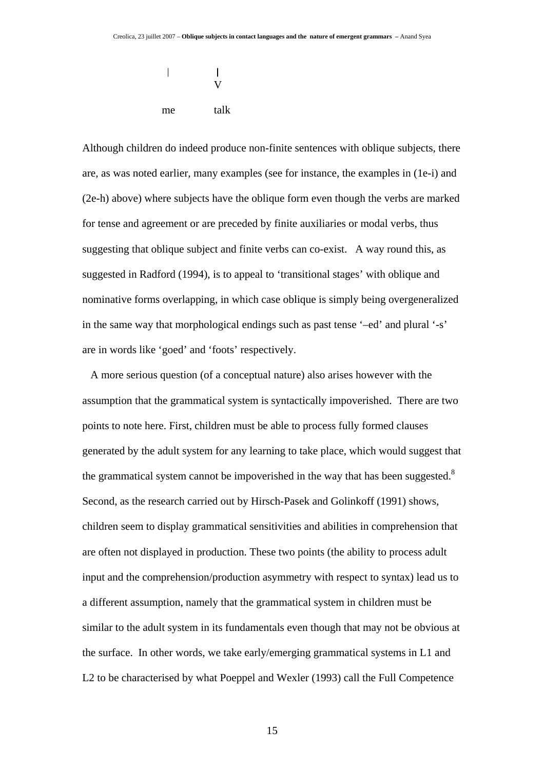$\overline{\phantom{a}}$  $\overline{1}$  V me talk

Although children do indeed produce non-finite sentences with oblique subjects, there are, as was noted earlier, many examples (see for instance, the examples in (1e-i) and (2e-h) above) where subjects have the oblique form even though the verbs are marked for tense and agreement or are preceded by finite auxiliaries or modal verbs, thus suggesting that oblique subject and finite verbs can co-exist. A way round this, as suggested in Radford (1994), is to appeal to 'transitional stages' with oblique and nominative forms overlapping, in which case oblique is simply being overgeneralized in the same way that morphological endings such as past tense '–ed' and plural '-s' are in words like 'goed' and 'foots' respectively.

 A more serious question (of a conceptual nature) also arises however with the assumption that the grammatical system is syntactically impoverished. There are two points to note here. First, children must be able to process fully formed clauses generated by the adult system for any learning to take place, which would suggest that the grammatical system cannot be impoverished in the way that has been suggested. $8$ Second, as the research carried out by Hirsch-Pasek and Golinkoff (1991) shows, children seem to display grammatical sensitivities and abilities in comprehension that are often not displayed in production. These two points (the ability to process adult input and the comprehension/production asymmetry with respect to syntax) lead us to a different assumption, namely that the grammatical system in children must be similar to the adult system in its fundamentals even though that may not be obvious at the surface. In other words, we take early/emerging grammatical systems in L1 and L2 to be characterised by what Poeppel and Wexler (1993) call the Full Competence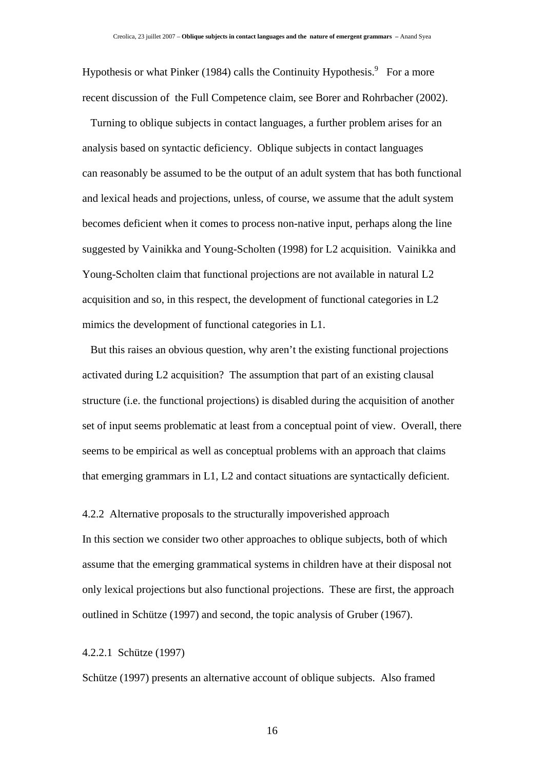Hypothesis or what Pinker (1984) calls the Continuity Hypothesis.<sup>9</sup> For a more recent discussion of the Full Competence claim, see Borer and Rohrbacher (2002).

 Turning to oblique subjects in contact languages, a further problem arises for an analysis based on syntactic deficiency. Oblique subjects in contact languages can reasonably be assumed to be the output of an adult system that has both functional and lexical heads and projections, unless, of course, we assume that the adult system becomes deficient when it comes to process non-native input, perhaps along the line suggested by Vainikka and Young-Scholten (1998) for L2 acquisition. Vainikka and Young-Scholten claim that functional projections are not available in natural L2 acquisition and so, in this respect, the development of functional categories in L2 mimics the development of functional categories in L1.

 But this raises an obvious question, why aren't the existing functional projections activated during L2 acquisition? The assumption that part of an existing clausal structure (i.e. the functional projections) is disabled during the acquisition of another set of input seems problematic at least from a conceptual point of view. Overall, there seems to be empirical as well as conceptual problems with an approach that claims that emerging grammars in L1, L2 and contact situations are syntactically deficient.

4.2.2 Alternative proposals to the structurally impoverished approach

In this section we consider two other approaches to oblique subjects, both of which assume that the emerging grammatical systems in children have at their disposal not only lexical projections but also functional projections. These are first, the approach outlined in Schütze (1997) and second, the topic analysis of Gruber (1967).

4.2.2.1 Schütze (1997)

Schütze (1997) presents an alternative account of oblique subjects. Also framed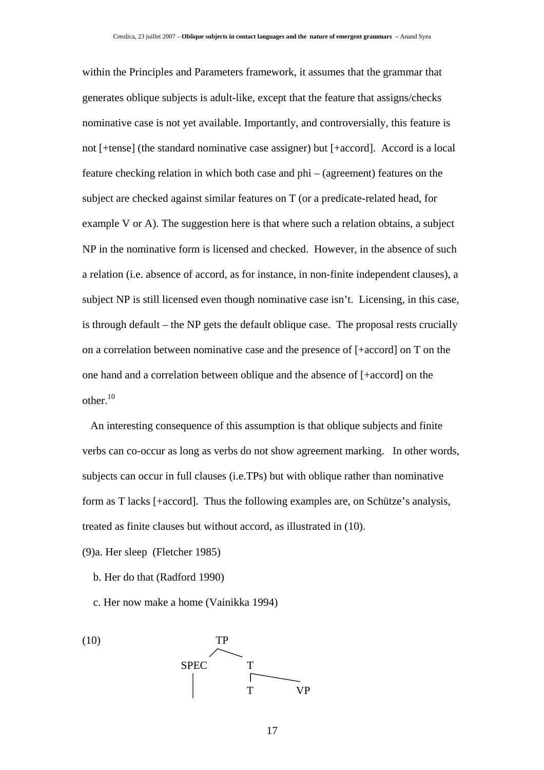within the Principles and Parameters framework, it assumes that the grammar that generates oblique subjects is adult-like, except that the feature that assigns/checks nominative case is not yet available. Importantly, and controversially, this feature is not [+tense] (the standard nominative case assigner) but [+accord]. Accord is a local feature checking relation in which both case and phi – (agreement) features on the subject are checked against similar features on T (or a predicate-related head, for example V or A). The suggestion here is that where such a relation obtains, a subject NP in the nominative form is licensed and checked. However, in the absence of such a relation (i.e. absence of accord, as for instance, in non-finite independent clauses), a subject NP is still licensed even though nominative case isn't. Licensing, in this case, is through default – the NP gets the default oblique case. The proposal rests crucially on a correlation between nominative case and the presence of [+accord] on T on the one hand and a correlation between oblique and the absence of [+accord] on the other. $10$ 

 An interesting consequence of this assumption is that oblique subjects and finite verbs can co-occur as long as verbs do not show agreement marking. In other words, subjects can occur in full clauses (i.e.TPs) but with oblique rather than nominative form as T lacks [+accord]. Thus the following examples are, on Schütze's analysis, treated as finite clauses but without accord, as illustrated in (10).

(9)a. Her sleep (Fletcher 1985)

- b. Her do that (Radford 1990)
- c. Her now make a home (Vainikka 1994)

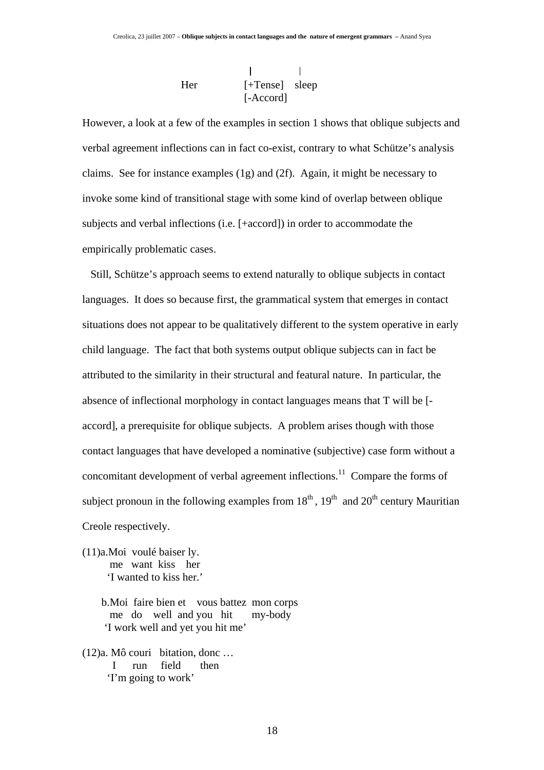$\mathbf{I}$  $\mathbf{I}$ Her [+Tense] sleep [-Accord]

However, a look at a few of the examples in section 1 shows that oblique subjects and verbal agreement inflections can in fact co-exist, contrary to what Schütze's analysis claims. See for instance examples (1g) and (2f). Again, it might be necessary to invoke some kind of transitional stage with some kind of overlap between oblique subjects and verbal inflections (i.e. [+accord]) in order to accommodate the empirically problematic cases.

 Still, Schütze's approach seems to extend naturally to oblique subjects in contact languages. It does so because first, the grammatical system that emerges in contact situations does not appear to be qualitatively different to the system operative in early child language. The fact that both systems output oblique subjects can in fact be attributed to the similarity in their structural and featural nature. In particular, the absence of inflectional morphology in contact languages means that T will be [ accord], a prerequisite for oblique subjects. A problem arises though with those contact languages that have developed a nominative (subjective) case form without a concomitant development of verbal agreement inflections.<sup>11</sup> Compare the forms of subject pronoun in the following examples from  $18<sup>th</sup>$ ,  $19<sup>th</sup>$  and  $20<sup>th</sup>$  century Mauritian Creole respectively.

(11)a.Moi voulé baiser ly. me want kiss her 'I wanted to kiss her.'

> b.Moi faire bien et vous battez mon corps me do well and you hit my-body 'I work well and yet you hit me'

(12)a. Mô couri bitation, donc … I run field then 'I'm going to work'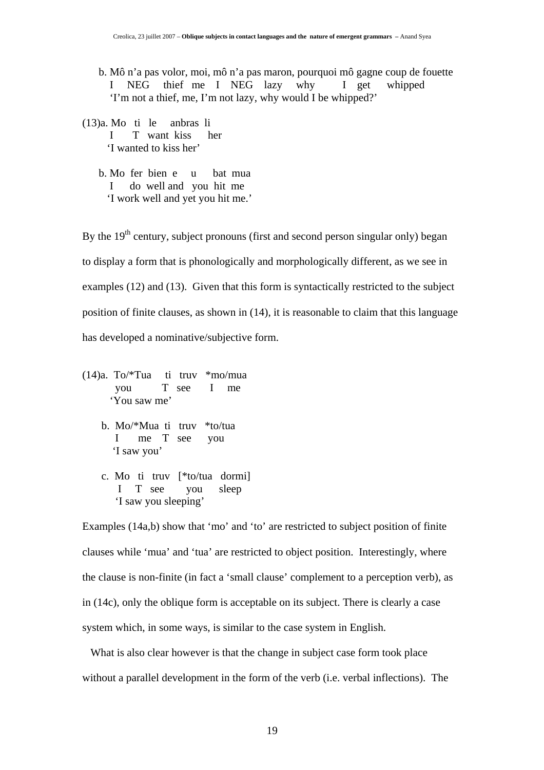b. Mô n'a pas volor, moi, mô n'a pas maron, pourquoi mô gagne coup de fouette I NEG thief me I NEG lazy why I get whipped 'I'm not a thief, me, I'm not lazy, why would I be whipped?'

(13)a. Mo ti le anbras li I T want kiss her 'I wanted to kiss her'

> b. Mo fer bien e u bat mua I do well and you hit me 'I work well and yet you hit me.'

By the  $19<sup>th</sup>$  century, subject pronouns (first and second person singular only) began to display a form that is phonologically and morphologically different, as we see in examples (12) and (13). Given that this form is syntactically restricted to the subject position of finite clauses, as shown in (14), it is reasonable to claim that this language has developed a nominative/subjective form.

- (14)a. To/\*Tua ti truv \*mo/mua you T see I me 'You saw me'
	- b. Mo/\*Mua ti truv \*to/tua I me T see you 'I saw you'
	- c. Mo ti truv [\*to/tua dormi] I T see you sleep 'I saw you sleeping'

Examples (14a,b) show that 'mo' and 'to' are restricted to subject position of finite clauses while 'mua' and 'tua' are restricted to object position. Interestingly, where the clause is non-finite (in fact a 'small clause' complement to a perception verb), as in (14c), only the oblique form is acceptable on its subject. There is clearly a case system which, in some ways, is similar to the case system in English.

 What is also clear however is that the change in subject case form took place without a parallel development in the form of the verb (i.e. verbal inflections). The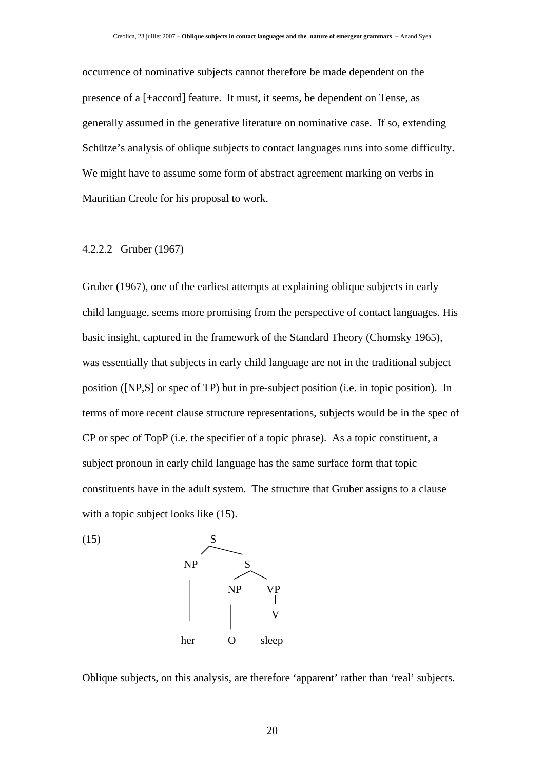occurrence of nominative subjects cannot therefore be made dependent on the presence of a [+accord] feature. It must, it seems, be dependent on Tense, as generally assumed in the generative literature on nominative case. If so, extending Schütze's analysis of oblique subjects to contact languages runs into some difficulty. We might have to assume some form of abstract agreement marking on verbs in Mauritian Creole for his proposal to work.

#### 4.2.2.2 Gruber (1967)

Gruber (1967), one of the earliest attempts at explaining oblique subjects in early child language, seems more promising from the perspective of contact languages. His basic insight, captured in the framework of the Standard Theory (Chomsky 1965), was essentially that subjects in early child language are not in the traditional subject position ([NP,S] or spec of TP) but in pre-subject position (i.e. in topic position). In terms of more recent clause structure representations, subjects would be in the spec of CP or spec of TopP (i.e. the specifier of a topic phrase). As a topic constituent, a subject pronoun in early child language has the same surface form that topic constituents have in the adult system. The structure that Gruber assigns to a clause with a topic subject looks like  $(15)$ .



Oblique subjects, on this analysis, are therefore 'apparent' rather than 'real' subjects.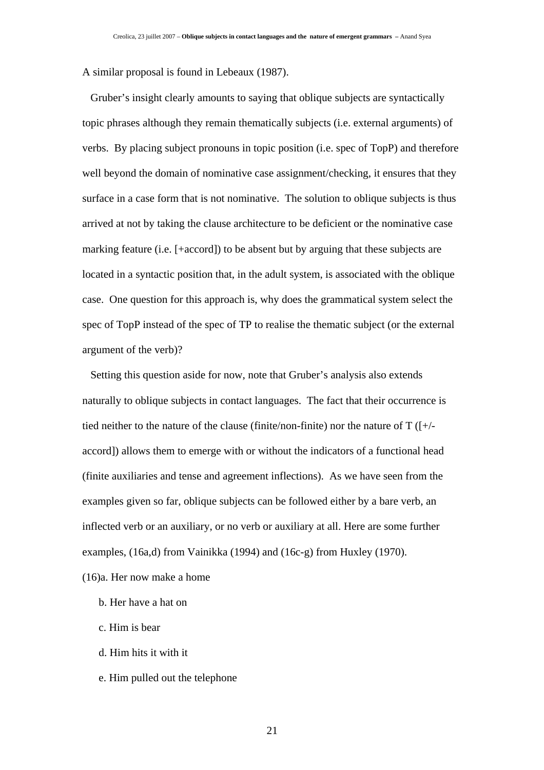A similar proposal is found in Lebeaux (1987).

 Gruber's insight clearly amounts to saying that oblique subjects are syntactically topic phrases although they remain thematically subjects (i.e. external arguments) of verbs. By placing subject pronouns in topic position (i.e. spec of TopP) and therefore well beyond the domain of nominative case assignment/checking, it ensures that they surface in a case form that is not nominative. The solution to oblique subjects is thus arrived at not by taking the clause architecture to be deficient or the nominative case marking feature (i.e. [+accord]) to be absent but by arguing that these subjects are located in a syntactic position that, in the adult system, is associated with the oblique case. One question for this approach is, why does the grammatical system select the spec of TopP instead of the spec of TP to realise the thematic subject (or the external argument of the verb)?

 Setting this question aside for now, note that Gruber's analysis also extends naturally to oblique subjects in contact languages. The fact that their occurrence is tied neither to the nature of the clause (finite/non-finite) nor the nature of  $T(f+/$ accord]) allows them to emerge with or without the indicators of a functional head (finite auxiliaries and tense and agreement inflections). As we have seen from the examples given so far, oblique subjects can be followed either by a bare verb, an inflected verb or an auxiliary, or no verb or auxiliary at all. Here are some further examples, (16a,d) from Vainikka (1994) and (16c-g) from Huxley (1970).

(16)a. Her now make a home

- b. Her have a hat on
- c. Him is bear
- d. Him hits it with it
- e. Him pulled out the telephone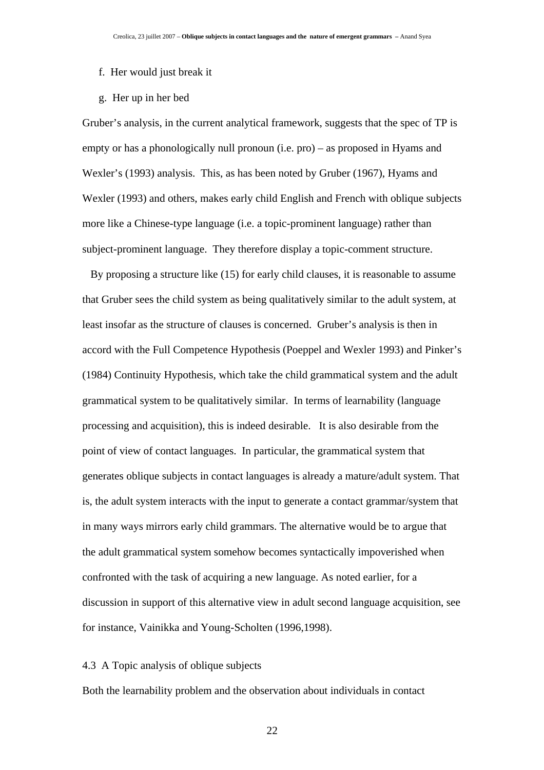- f. Her would just break it
- g. Her up in her bed

Gruber's analysis, in the current analytical framework, suggests that the spec of TP is empty or has a phonologically null pronoun (i.e. pro) – as proposed in Hyams and Wexler's (1993) analysis. This, as has been noted by Gruber (1967), Hyams and Wexler (1993) and others, makes early child English and French with oblique subjects more like a Chinese-type language (i.e. a topic-prominent language) rather than subject-prominent language. They therefore display a topic-comment structure.

 By proposing a structure like (15) for early child clauses, it is reasonable to assume that Gruber sees the child system as being qualitatively similar to the adult system, at least insofar as the structure of clauses is concerned. Gruber's analysis is then in accord with the Full Competence Hypothesis (Poeppel and Wexler 1993) and Pinker's (1984) Continuity Hypothesis, which take the child grammatical system and the adult grammatical system to be qualitatively similar. In terms of learnability (language processing and acquisition), this is indeed desirable. It is also desirable from the point of view of contact languages. In particular, the grammatical system that generates oblique subjects in contact languages is already a mature/adult system. That is, the adult system interacts with the input to generate a contact grammar/system that in many ways mirrors early child grammars. The alternative would be to argue that the adult grammatical system somehow becomes syntactically impoverished when confronted with the task of acquiring a new language. As noted earlier, for a discussion in support of this alternative view in adult second language acquisition, see for instance, Vainikka and Young-Scholten (1996,1998).

### 4.3 A Topic analysis of oblique subjects

Both the learnability problem and the observation about individuals in contact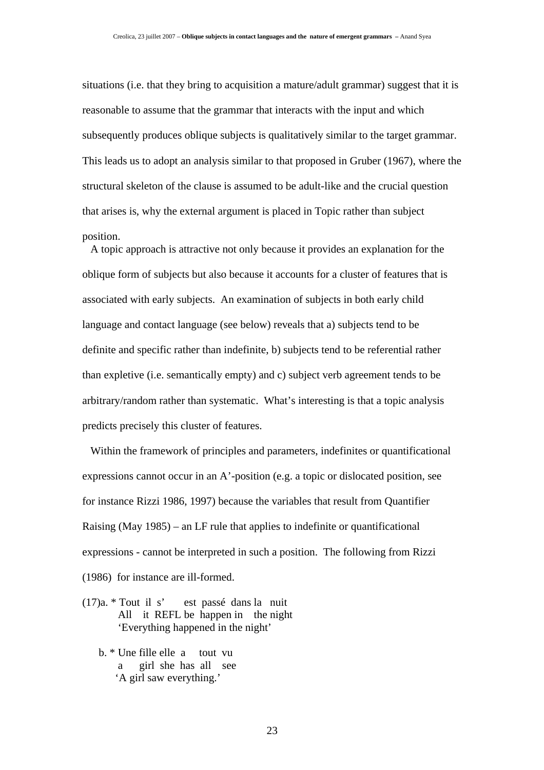situations (i.e. that they bring to acquisition a mature/adult grammar) suggest that it is reasonable to assume that the grammar that interacts with the input and which subsequently produces oblique subjects is qualitatively similar to the target grammar. This leads us to adopt an analysis similar to that proposed in Gruber (1967), where the structural skeleton of the clause is assumed to be adult-like and the crucial question that arises is, why the external argument is placed in Topic rather than subject position.

 A topic approach is attractive not only because it provides an explanation for the oblique form of subjects but also because it accounts for a cluster of features that is associated with early subjects. An examination of subjects in both early child language and contact language (see below) reveals that a) subjects tend to be definite and specific rather than indefinite, b) subjects tend to be referential rather than expletive (i.e. semantically empty) and c) subject verb agreement tends to be arbitrary/random rather than systematic. What's interesting is that a topic analysis predicts precisely this cluster of features.

 Within the framework of principles and parameters, indefinites or quantificational expressions cannot occur in an A'-position (e.g. a topic or dislocated position, see for instance Rizzi 1986, 1997) because the variables that result from Quantifier Raising (May 1985) – an LF rule that applies to indefinite or quantificational expressions - cannot be interpreted in such a position. The following from Rizzi (1986) for instance are ill-formed.

(17)a. \* Tout il s' est passé dans la nuit All it REFL be happen in the night 'Everything happened in the night'

 b. \* Une fille elle a tout vu a girl she has all see 'A girl saw everything.'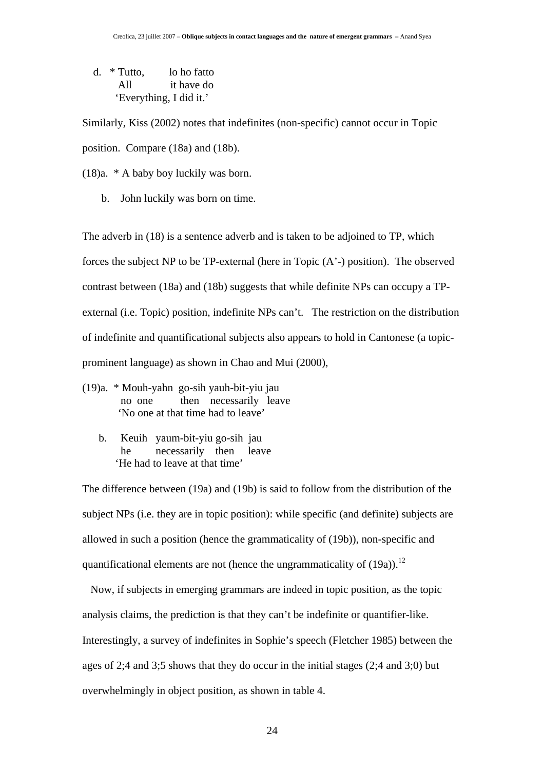d. \* Tutto, lo ho fatto All it have do 'Everything, I did it.'

Similarly, Kiss (2002) notes that indefinites (non-specific) cannot occur in Topic position. Compare (18a) and (18b).

(18)a. \* A baby boy luckily was born.

b. John luckily was born on time.

The adverb in (18) is a sentence adverb and is taken to be adjoined to TP, which forces the subject NP to be TP-external (here in Topic (A'-) position). The observed contrast between (18a) and (18b) suggests that while definite NPs can occupy a TPexternal (i.e. Topic) position, indefinite NPs can't. The restriction on the distribution of indefinite and quantificational subjects also appears to hold in Cantonese (a topicprominent language) as shown in Chao and Mui (2000),

- (19)a. \* Mouh-yahn go-sih yauh-bit-yiu jau no one then necessarily leave 'No one at that time had to leave'
	- b. Keuih yaum-bit-yiu go-sih jau he necessarily then leave 'He had to leave at that time'

The difference between (19a) and (19b) is said to follow from the distribution of the subject NPs (i.e. they are in topic position): while specific (and definite) subjects are allowed in such a position (hence the grammaticality of (19b)), non-specific and quantificational elements are not (hence the ungrammaticality of  $(19a)$ ).<sup>12</sup>

 Now, if subjects in emerging grammars are indeed in topic position, as the topic analysis claims, the prediction is that they can't be indefinite or quantifier-like. Interestingly, a survey of indefinites in Sophie's speech (Fletcher 1985) between the ages of 2;4 and 3;5 shows that they do occur in the initial stages (2;4 and 3;0) but overwhelmingly in object position, as shown in table 4.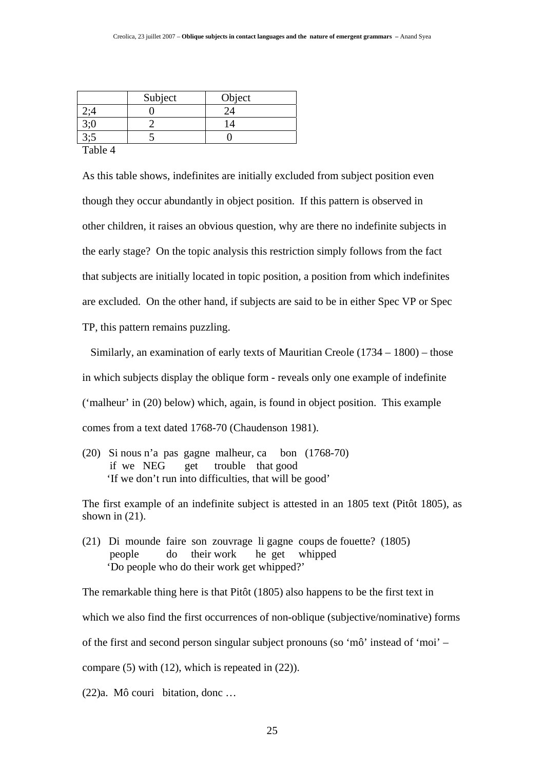| Subject | Object |
|---------|--------|
|         |        |
|         |        |
|         |        |

Table 4

As this table shows, indefinites are initially excluded from subject position even though they occur abundantly in object position. If this pattern is observed in other children, it raises an obvious question, why are there no indefinite subjects in the early stage? On the topic analysis this restriction simply follows from the fact that subjects are initially located in topic position, a position from which indefinites are excluded. On the other hand, if subjects are said to be in either Spec VP or Spec TP, this pattern remains puzzling.

 Similarly, an examination of early texts of Mauritian Creole (1734 – 1800) – those in which subjects display the oblique form - reveals only one example of indefinite ('malheur' in (20) below) which, again, is found in object position. This example comes from a text dated 1768-70 (Chaudenson 1981).

(20) Si nous n'a pas gagne malheur, ca bon (1768-70) if we NEG get trouble that good 'If we don't run into difficulties, that will be good'

The first example of an indefinite subject is attested in an 1805 text (Pitôt 1805), as shown in  $(21)$ .

(21) Di mounde faire son zouvrage li gagne coups de fouette? (1805) people do their work he get whipped 'Do people who do their work get whipped?'

The remarkable thing here is that Pitôt (1805) also happens to be the first text in which we also find the first occurrences of non-oblique (subjective/nominative) forms of the first and second person singular subject pronouns (so 'mô' instead of 'moi' – compare (5) with (12), which is repeated in (22)).

(22)a. Mô couri bitation, donc …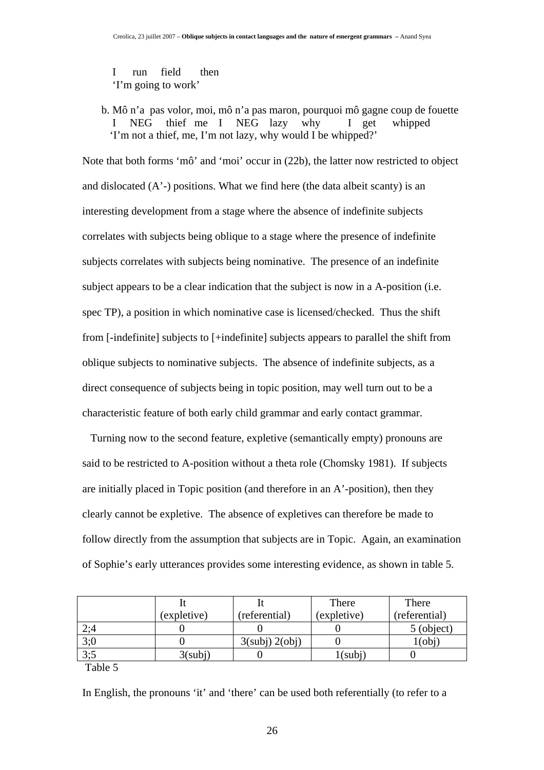I run field then 'I'm going to work'

 b. Mô n'a pas volor, moi, mô n'a pas maron, pourquoi mô gagne coup de fouette I NEG thief me I NEG lazy why I get whipped 'I'm not a thief, me, I'm not lazy, why would I be whipped?'

Note that both forms 'mô' and 'moi' occur in (22b), the latter now restricted to object and dislocated  $(A^2)$  positions. What we find here (the data albeit scanty) is an interesting development from a stage where the absence of indefinite subjects correlates with subjects being oblique to a stage where the presence of indefinite subjects correlates with subjects being nominative. The presence of an indefinite subject appears to be a clear indication that the subject is now in a A-position (i.e. spec TP), a position in which nominative case is licensed/checked. Thus the shift from [-indefinite] subjects to [+indefinite] subjects appears to parallel the shift from oblique subjects to nominative subjects. The absence of indefinite subjects, as a direct consequence of subjects being in topic position, may well turn out to be a characteristic feature of both early child grammar and early contact grammar.

 Turning now to the second feature, expletive (semantically empty) pronouns are said to be restricted to A-position without a theta role (Chomsky 1981). If subjects are initially placed in Topic position (and therefore in an A'-position), then they clearly cannot be expletive. The absence of expletives can therefore be made to follow directly from the assumption that subjects are in Topic. Again, an examination of Sophie's early utterances provides some interesting evidence, as shown in table 5.

|     |             |               | There                    | There         |
|-----|-------------|---------------|--------------------------|---------------|
|     | (expletive) | (referential) | (expletive)              | (referential) |
| 2;4 |             |               |                          | 5 (object)    |
| 3;0 |             | 3(sub) 2(obj) |                          | Ob1)          |
| 3:5 | 3(subi)     |               | $1$ (subj $\overline{1}$ |               |

Table 5

In English, the pronouns 'it' and 'there' can be used both referentially (to refer to a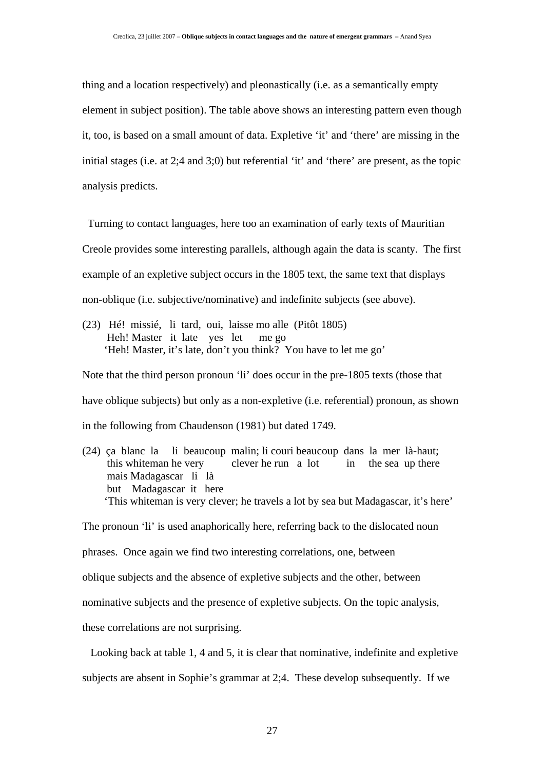thing and a location respectively) and pleonastically (i.e. as a semantically empty element in subject position). The table above shows an interesting pattern even though it, too, is based on a small amount of data. Expletive 'it' and 'there' are missing in the initial stages (i.e. at 2;4 and 3;0) but referential 'it' and 'there' are present, as the topic analysis predicts.

 Turning to contact languages, here too an examination of early texts of Mauritian Creole provides some interesting parallels, although again the data is scanty. The first example of an expletive subject occurs in the 1805 text, the same text that displays non-oblique (i.e. subjective/nominative) and indefinite subjects (see above).

(23) Hé! missié, li tard, oui, laisse mo alle (Pitôt 1805) Heh! Master it late yes let me go 'Heh! Master, it's late, don't you think? You have to let me go'

Note that the third person pronoun 'li' does occur in the pre-1805 texts (those that have oblique subjects) but only as a non-expletive (i.e. referential) pronoun, as shown in the following from Chaudenson (1981) but dated 1749.

(24) ça blanc la li beaucoup malin; li couri beaucoup dans la mer là-haut; this whiteman he very clever he run a lot in the sea up there mais Madagascar li là but Madagascar it here 'This whiteman is very clever; he travels a lot by sea but Madagascar, it's here'

The pronoun 'li' is used anaphorically here, referring back to the dislocated noun

phrases. Once again we find two interesting correlations, one, between

oblique subjects and the absence of expletive subjects and the other, between

nominative subjects and the presence of expletive subjects. On the topic analysis,

these correlations are not surprising.

Looking back at table 1, 4 and 5, it is clear that nominative, indefinite and expletive

subjects are absent in Sophie's grammar at 2;4. These develop subsequently. If we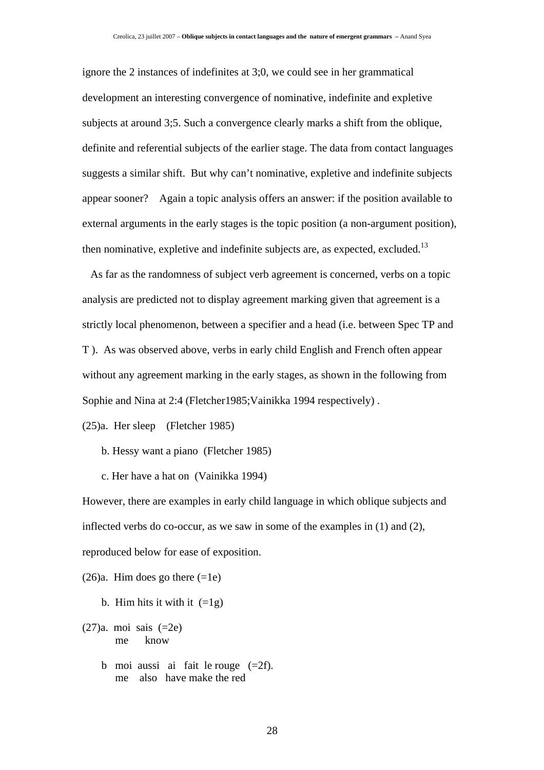ignore the 2 instances of indefinites at 3;0, we could see in her grammatical development an interesting convergence of nominative, indefinite and expletive subjects at around 3;5. Such a convergence clearly marks a shift from the oblique, definite and referential subjects of the earlier stage. The data from contact languages suggests a similar shift. But why can't nominative, expletive and indefinite subjects appear sooner? Again a topic analysis offers an answer: if the position available to external arguments in the early stages is the topic position (a non-argument position), then nominative, expletive and indefinite subjects are, as expected, excluded.<sup>13</sup>

 As far as the randomness of subject verb agreement is concerned, verbs on a topic analysis are predicted not to display agreement marking given that agreement is a strictly local phenomenon, between a specifier and a head (i.e. between Spec TP and T ). As was observed above, verbs in early child English and French often appear without any agreement marking in the early stages, as shown in the following from Sophie and Nina at 2:4 (Fletcher1985; Vainikka 1994 respectively).

(25)a. Her sleep (Fletcher 1985)

- b. Hessy want a piano (Fletcher 1985)
- c. Her have a hat on (Vainikka 1994)

However, there are examples in early child language in which oblique subjects and inflected verbs do co-occur, as we saw in some of the examples in (1) and (2), reproduced below for ease of exposition.

 $(26)a$ . Him does go there  $(=1e)$ 

- b. Him hits it with it  $(=1g)$
- (27)a. moi sais (=2e) me know
	- b moi aussi ai fait le rouge  $(=2f)$ . me also have make the red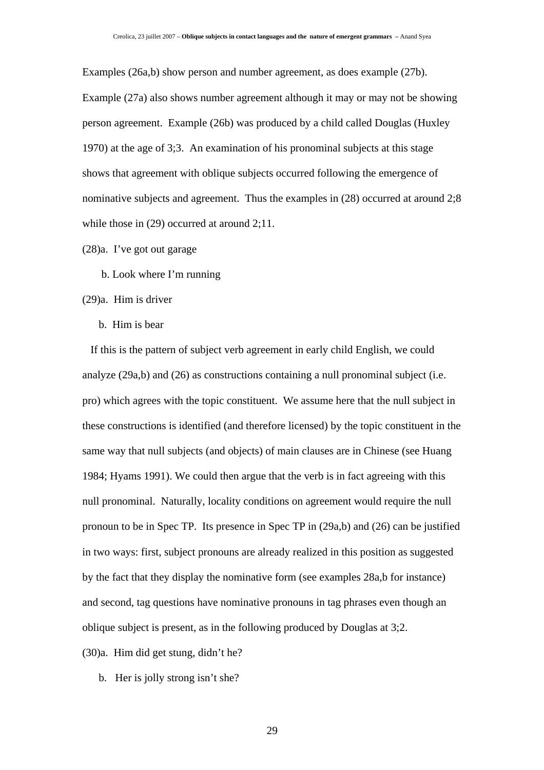Examples (26a,b) show person and number agreement, as does example (27b). Example (27a) also shows number agreement although it may or may not be showing person agreement. Example (26b) was produced by a child called Douglas (Huxley 1970) at the age of 3;3. An examination of his pronominal subjects at this stage shows that agreement with oblique subjects occurred following the emergence of nominative subjects and agreement. Thus the examples in (28) occurred at around 2;8 while those in (29) occurred at around 2;11.

(28)a. I've got out garage

b. Look where I'm running

(29)a. Him is driver

b. Him is bear

 If this is the pattern of subject verb agreement in early child English, we could analyze (29a,b) and (26) as constructions containing a null pronominal subject (i.e. pro) which agrees with the topic constituent. We assume here that the null subject in these constructions is identified (and therefore licensed) by the topic constituent in the same way that null subjects (and objects) of main clauses are in Chinese (see Huang 1984; Hyams 1991). We could then argue that the verb is in fact agreeing with this null pronominal. Naturally, locality conditions on agreement would require the null pronoun to be in Spec TP. Its presence in Spec TP in (29a,b) and (26) can be justified in two ways: first, subject pronouns are already realized in this position as suggested by the fact that they display the nominative form (see examples 28a,b for instance) and second, tag questions have nominative pronouns in tag phrases even though an oblique subject is present, as in the following produced by Douglas at 3;2.

(30)a. Him did get stung, didn't he?

b. Her is jolly strong isn't she?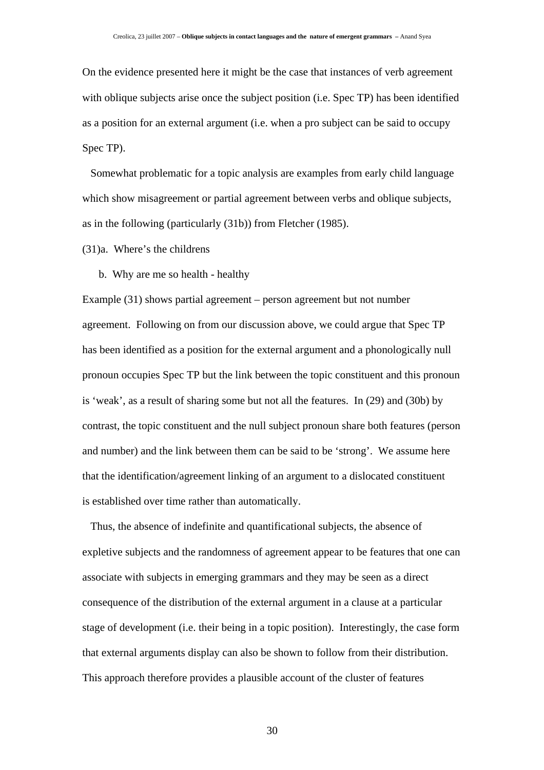On the evidence presented here it might be the case that instances of verb agreement with oblique subjects arise once the subject position (i.e. Spec TP) has been identified as a position for an external argument (i.e. when a pro subject can be said to occupy Spec TP).

 Somewhat problematic for a topic analysis are examples from early child language which show misagreement or partial agreement between verbs and oblique subjects, as in the following (particularly (31b)) from Fletcher (1985).

(31)a. Where's the childrens

b. Why are me so health - healthy

Example (31) shows partial agreement – person agreement but not number agreement. Following on from our discussion above, we could argue that Spec TP has been identified as a position for the external argument and a phonologically null pronoun occupies Spec TP but the link between the topic constituent and this pronoun is 'weak', as a result of sharing some but not all the features. In (29) and (30b) by contrast, the topic constituent and the null subject pronoun share both features (person and number) and the link between them can be said to be 'strong'. We assume here that the identification/agreement linking of an argument to a dislocated constituent is established over time rather than automatically.

 Thus, the absence of indefinite and quantificational subjects, the absence of expletive subjects and the randomness of agreement appear to be features that one can associate with subjects in emerging grammars and they may be seen as a direct consequence of the distribution of the external argument in a clause at a particular stage of development (i.e. their being in a topic position). Interestingly, the case form that external arguments display can also be shown to follow from their distribution. This approach therefore provides a plausible account of the cluster of features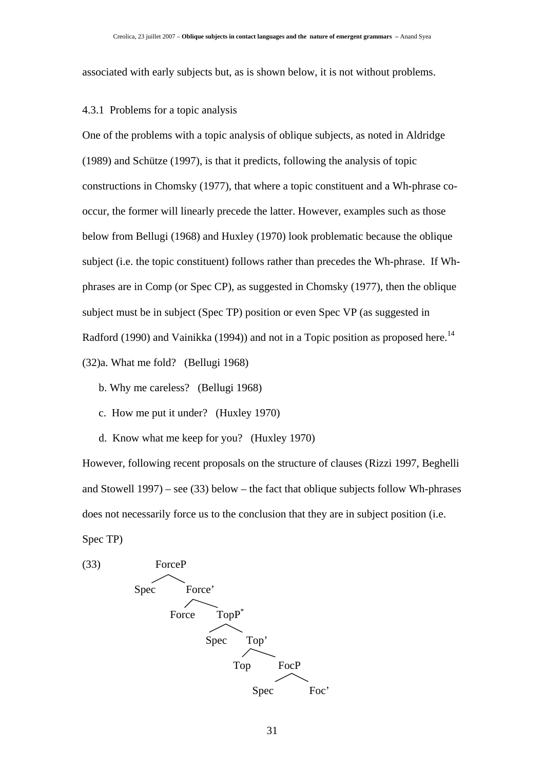associated with early subjects but, as is shown below, it is not without problems.

#### 4.3.1 Problems for a topic analysis

One of the problems with a topic analysis of oblique subjects, as noted in Aldridge (1989) and Schütze (1997), is that it predicts, following the analysis of topic constructions in Chomsky (1977), that where a topic constituent and a Wh-phrase cooccur, the former will linearly precede the latter. However, examples such as those below from Bellugi (1968) and Huxley (1970) look problematic because the oblique subject (i.e. the topic constituent) follows rather than precedes the Wh-phrase. If Whphrases are in Comp (or Spec CP), as suggested in Chomsky (1977), then the oblique subject must be in subject (Spec TP) position or even Spec VP (as suggested in Radford (1990) and Vainikka (1994)) and not in a Topic position as proposed here.<sup>14</sup> (32)a. What me fold? (Bellugi 1968)

- b. Why me careless? (Bellugi 1968)
- c. How me put it under? (Huxley 1970)
- d. Know what me keep for you? (Huxley 1970)

However, following recent proposals on the structure of clauses (Rizzi 1997, Beghelli and Stowell  $1997$  – see (33) below – the fact that oblique subjects follow Wh-phrases does not necessarily force us to the conclusion that they are in subject position (i.e. Spec TP)

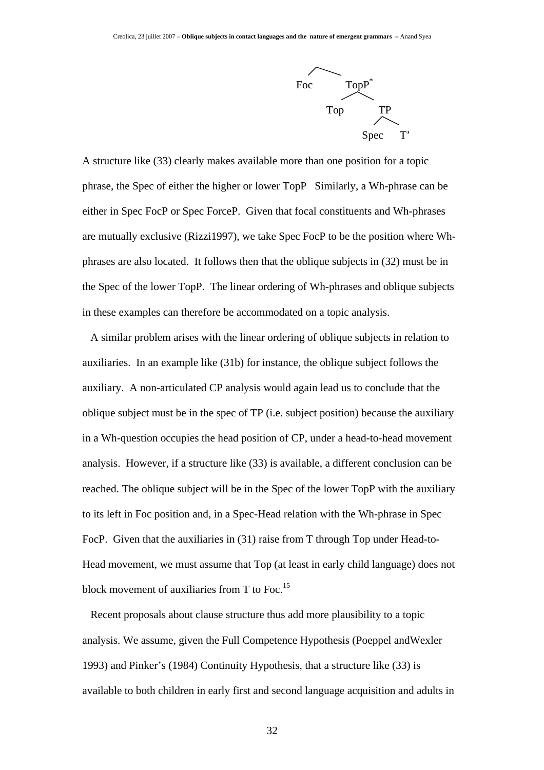

A structure like (33) clearly makes available more than one position for a topic phrase, the Spec of either the higher or lower TopP Similarly, a Wh-phrase can be either in Spec FocP or Spec ForceP. Given that focal constituents and Wh-phrases are mutually exclusive (Rizzi1997), we take Spec FocP to be the position where Whphrases are also located. It follows then that the oblique subjects in (32) must be in the Spec of the lower TopP. The linear ordering of Wh-phrases and oblique subjects in these examples can therefore be accommodated on a topic analysis.

 A similar problem arises with the linear ordering of oblique subjects in relation to auxiliaries. In an example like (31b) for instance, the oblique subject follows the auxiliary. A non-articulated CP analysis would again lead us to conclude that the oblique subject must be in the spec of TP (i.e. subject position) because the auxiliary in a Wh-question occupies the head position of CP, under a head-to-head movement analysis. However, if a structure like (33) is available, a different conclusion can be reached. The oblique subject will be in the Spec of the lower TopP with the auxiliary to its left in Foc position and, in a Spec-Head relation with the Wh-phrase in Spec FocP. Given that the auxiliaries in (31) raise from T through Top under Head-to-Head movement, we must assume that Top (at least in early child language) does not block movement of auxiliaries from T to Foc.<sup>15</sup>

 Recent proposals about clause structure thus add more plausibility to a topic analysis. We assume, given the Full Competence Hypothesis (Poeppel andWexler 1993) and Pinker's (1984) Continuity Hypothesis, that a structure like (33) is available to both children in early first and second language acquisition and adults in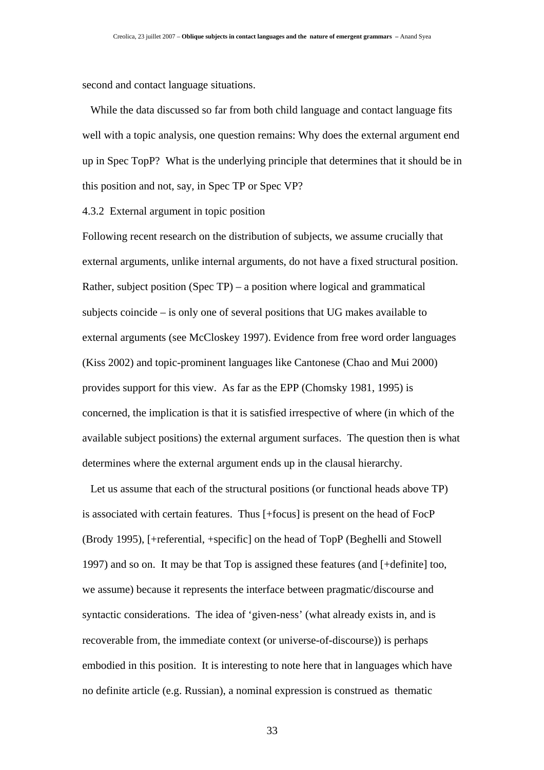second and contact language situations.

 While the data discussed so far from both child language and contact language fits well with a topic analysis, one question remains: Why does the external argument end up in Spec TopP? What is the underlying principle that determines that it should be in this position and not, say, in Spec TP or Spec VP?

4.3.2 External argument in topic position

Following recent research on the distribution of subjects, we assume crucially that external arguments, unlike internal arguments, do not have a fixed structural position. Rather, subject position (Spec TP) – a position where logical and grammatical subjects coincide – is only one of several positions that UG makes available to external arguments (see McCloskey 1997). Evidence from free word order languages (Kiss 2002) and topic-prominent languages like Cantonese (Chao and Mui 2000) provides support for this view. As far as the EPP (Chomsky 1981, 1995) is concerned, the implication is that it is satisfied irrespective of where (in which of the available subject positions) the external argument surfaces. The question then is what determines where the external argument ends up in the clausal hierarchy.

 Let us assume that each of the structural positions (or functional heads above TP) is associated with certain features. Thus [+focus] is present on the head of FocP (Brody 1995), [+referential, +specific] on the head of TopP (Beghelli and Stowell 1997) and so on. It may be that Top is assigned these features (and [+definite] too, we assume) because it represents the interface between pragmatic/discourse and syntactic considerations. The idea of 'given-ness' (what already exists in, and is recoverable from, the immediate context (or universe-of-discourse)) is perhaps embodied in this position. It is interesting to note here that in languages which have no definite article (e.g. Russian), a nominal expression is construed as thematic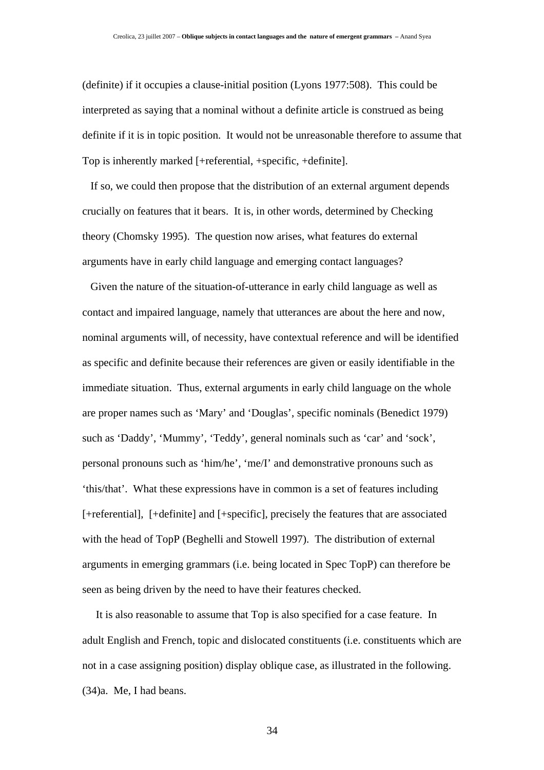(definite) if it occupies a clause-initial position (Lyons 1977:508). This could be interpreted as saying that a nominal without a definite article is construed as being definite if it is in topic position. It would not be unreasonable therefore to assume that Top is inherently marked [+referential, +specific, +definite].

 If so, we could then propose that the distribution of an external argument depends crucially on features that it bears. It is, in other words, determined by Checking theory (Chomsky 1995). The question now arises, what features do external arguments have in early child language and emerging contact languages?

 Given the nature of the situation-of-utterance in early child language as well as contact and impaired language, namely that utterances are about the here and now, nominal arguments will, of necessity, have contextual reference and will be identified as specific and definite because their references are given or easily identifiable in the immediate situation. Thus, external arguments in early child language on the whole are proper names such as 'Mary' and 'Douglas', specific nominals (Benedict 1979) such as 'Daddy', 'Mummy', 'Teddy', general nominals such as 'car' and 'sock', personal pronouns such as 'him/he', 'me/I' and demonstrative pronouns such as 'this/that'. What these expressions have in common is a set of features including [+referential], [+definite] and [+specific], precisely the features that are associated with the head of TopP (Beghelli and Stowell 1997). The distribution of external arguments in emerging grammars (i.e. being located in Spec TopP) can therefore be seen as being driven by the need to have their features checked.

 It is also reasonable to assume that Top is also specified for a case feature. In adult English and French, topic and dislocated constituents (i.e. constituents which are not in a case assigning position) display oblique case, as illustrated in the following. (34)a. Me, I had beans.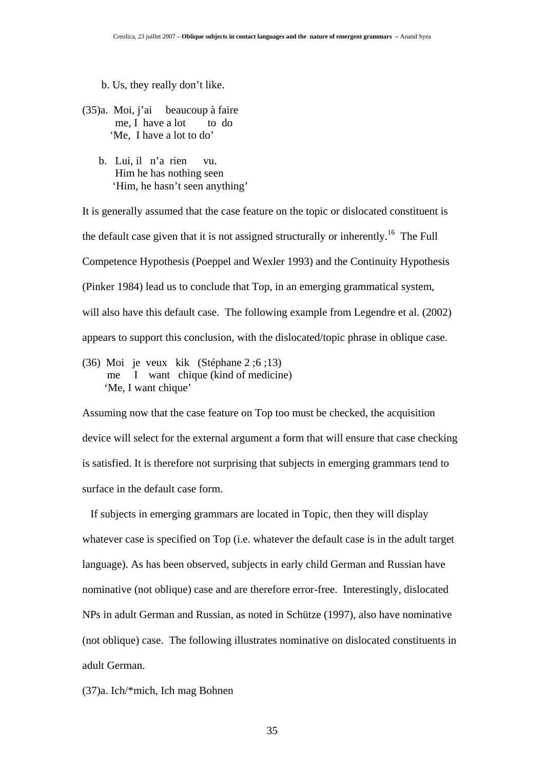b. Us, they really don't like.

- (35)a. Moi, j'ai beaucoup à faire me. I have a lot to do 'Me, I have a lot to do'
	- b. Lui, il n'a rien vu. Him he has nothing seen 'Him, he hasn't seen anything'

It is generally assumed that the case feature on the topic or dislocated constituent is the default case given that it is not assigned structurally or inherently.<sup>16</sup> The Full Competence Hypothesis (Poeppel and Wexler 1993) and the Continuity Hypothesis (Pinker 1984) lead us to conclude that Top, in an emerging grammatical system, will also have this default case. The following example from Legendre et al. (2002) appears to support this conclusion, with the dislocated/topic phrase in oblique case.

(36) Moi je veux kik (Stéphane 2 ;6 ;13) me I want chique (kind of medicine) 'Me, I want chique'

Assuming now that the case feature on Top too must be checked, the acquisition device will select for the external argument a form that will ensure that case checking is satisfied. It is therefore not surprising that subjects in emerging grammars tend to surface in the default case form.

 If subjects in emerging grammars are located in Topic, then they will display whatever case is specified on Top (i.e. whatever the default case is in the adult target language). As has been observed, subjects in early child German and Russian have nominative (not oblique) case and are therefore error-free. Interestingly, dislocated NPs in adult German and Russian, as noted in Schütze (1997), also have nominative (not oblique) case. The following illustrates nominative on dislocated constituents in adult German.

(37)a. Ich/\*mich, Ich mag Bohnen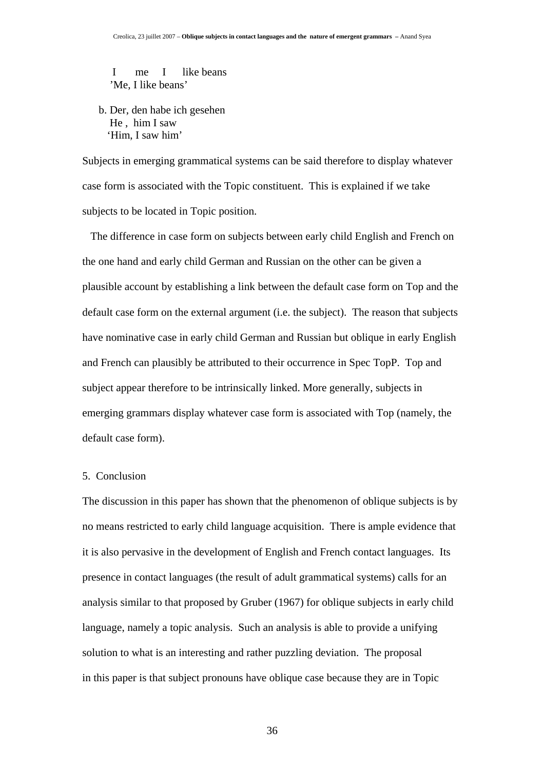I me I like beans 'Me, I like beans'

b. Der, den habe ich gesehen He , him I saw 'Him, I saw him'

Subjects in emerging grammatical systems can be said therefore to display whatever case form is associated with the Topic constituent. This is explained if we take subjects to be located in Topic position.

 The difference in case form on subjects between early child English and French on the one hand and early child German and Russian on the other can be given a plausible account by establishing a link between the default case form on Top and the default case form on the external argument (i.e. the subject). The reason that subjects have nominative case in early child German and Russian but oblique in early English and French can plausibly be attributed to their occurrence in Spec TopP. Top and subject appear therefore to be intrinsically linked. More generally, subjects in emerging grammars display whatever case form is associated with Top (namely, the default case form).

## 5. Conclusion

The discussion in this paper has shown that the phenomenon of oblique subjects is by no means restricted to early child language acquisition. There is ample evidence that it is also pervasive in the development of English and French contact languages. Its presence in contact languages (the result of adult grammatical systems) calls for an analysis similar to that proposed by Gruber (1967) for oblique subjects in early child language, namely a topic analysis. Such an analysis is able to provide a unifying solution to what is an interesting and rather puzzling deviation. The proposal in this paper is that subject pronouns have oblique case because they are in Topic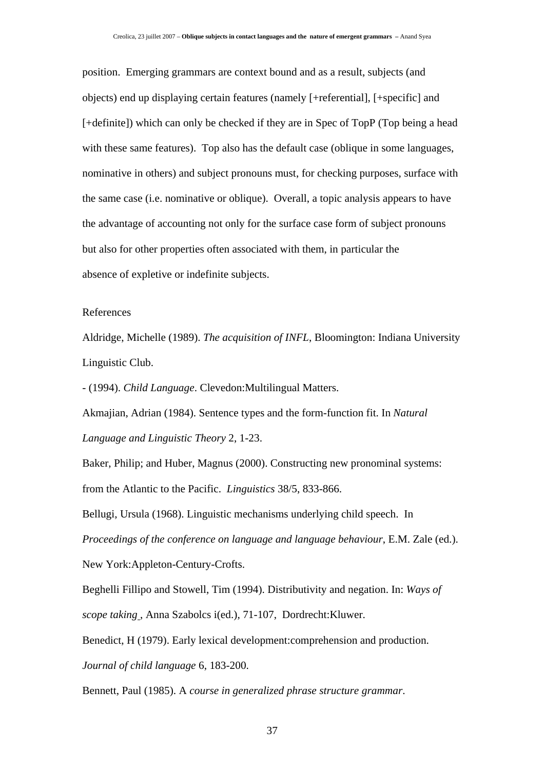position. Emerging grammars are context bound and as a result, subjects (and objects) end up displaying certain features (namely [+referential], [+specific] and [+definite]) which can only be checked if they are in Spec of TopP (Top being a head with these same features). Top also has the default case (oblique in some languages, nominative in others) and subject pronouns must, for checking purposes, surface with the same case (i.e. nominative or oblique). Overall, a topic analysis appears to have the advantage of accounting not only for the surface case form of subject pronouns but also for other properties often associated with them, in particular the absence of expletive or indefinite subjects.

#### References

Aldridge, Michelle (1989). *The acquisition of INFL*, Bloomington: Indiana University Linguistic Club.

- (1994). *Child Language*. Clevedon:Multilingual Matters.

Akmajian, Adrian (1984). Sentence types and the form-function fit. In *Natural Language and Linguistic Theory* 2, 1-23.

Baker, Philip; and Huber, Magnus (2000). Constructing new pronominal systems: from the Atlantic to the Pacific. *Linguistics* 38/5, 833-866.

Bellugi, Ursula (1968). Linguistic mechanisms underlying child speech. In *Proceedings of the conference on language and language behaviour*, E.M. Zale (ed.). New York:Appleton-Century-Crofts.

Beghelli Fillipo and Stowell, Tim (1994). Distributivity and negation. In: *Ways of scope taking* , Anna Szabolcs i(ed.), 71-107, Dordrecht:Kluwer.

Benedict, H (1979). Early lexical development:comprehension and production. *Journal of child language* 6, 183-200.

Bennett, Paul (1985). A *course in generalized phrase structure grammar*.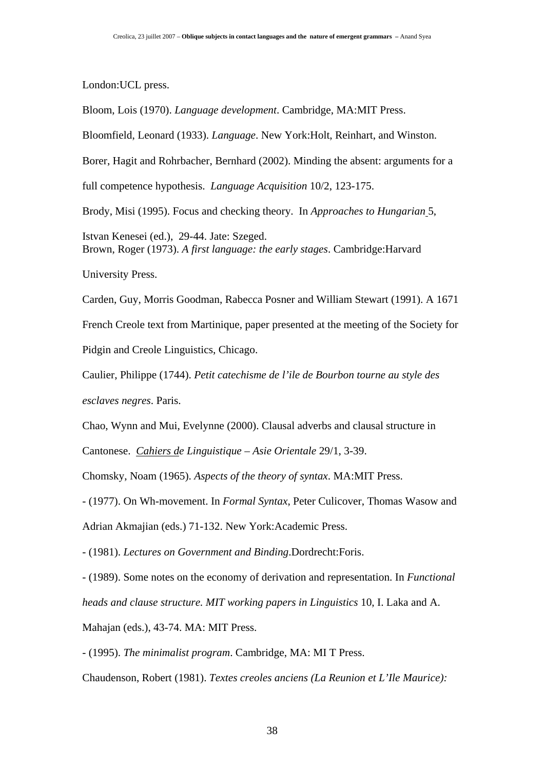London:UCL press.

Bloom, Lois (1970). *Language development*. Cambridge, MA:MIT Press.

Bloomfield, Leonard (1933). *Language*. New York:Holt, Reinhart, and Winston.

Borer, Hagit and Rohrbacher, Bernhard (2002). Minding the absent: arguments for a

full competence hypothesis. *Language Acquisition* 10/2, 123-175.

Brody, Misi (1995). Focus and checking theory. In *Approaches to Hungarian* 5,

Istvan Kenesei (ed.), 29-44. Jate: Szeged. Brown, Roger (1973). *A first language: the early stages*. Cambridge:Harvard

University Press.

Carden, Guy, Morris Goodman, Rabecca Posner and William Stewart (1991). A 1671 French Creole text from Martinique, paper presented at the meeting of the Society for Pidgin and Creole Linguistics, Chicago.

Caulier, Philippe (1744). *Petit catechisme de l'ile de Bourbon tourne au style des esclaves negres*. Paris.

Chao, Wynn and Mui, Evelynne (2000). Clausal adverbs and clausal structure in

Cantonese. *Cahiers de Linguistique – Asie Orientale* 29/1, 3-39.

Chomsky, Noam (1965). *Aspects of the theory of syntax*. MA:MIT Press.

- (1977). On Wh-movement. In *Formal Syntax*, Peter Culicover, Thomas Wasow and Adrian Akmajian (eds.) 71-132. New York:Academic Press.

- (1981). *Lectures on Government and Binding*.Dordrecht:Foris.

- (1989). Some notes on the economy of derivation and representation. In *Functional* 

*heads and clause structure. MIT working papers in Linguistics* 10, I. Laka and A.

Mahajan (eds.), 43-74. MA: MIT Press.

- (1995). *The minimalist program*. Cambridge, MA: MI T Press.

Chaudenson, Robert (1981). *Textes creoles anciens (La Reunion et L'Ile Maurice):*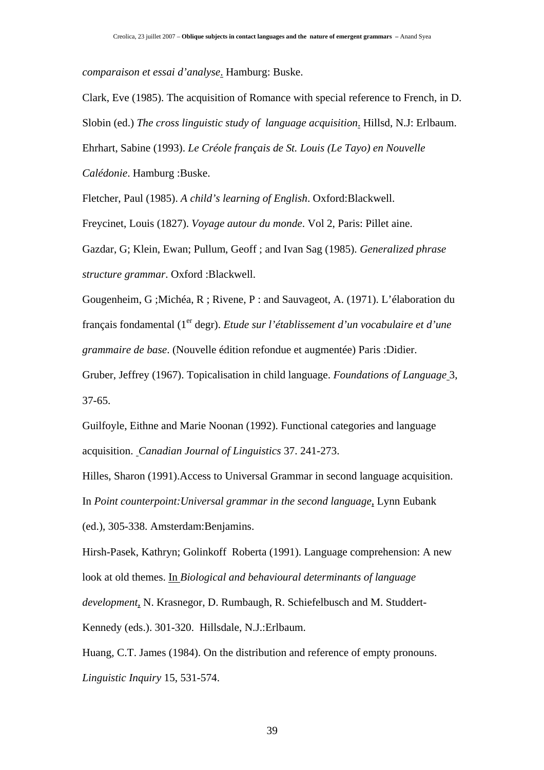*comparaison et essai d'analyse*. Hamburg: Buske.

Clark, Eve (1985). The acquisition of Romance with special reference to French, in D. Slobin (ed.) *The cross linguistic study of language acquisition*. Hillsd, N.J: Erlbaum. Ehrhart, Sabine (1993). *Le Créole français de St. Louis (Le Tayo) en Nouvelle* 

*Calédonie*. Hamburg :Buske.

Fletcher, Paul (1985). *A child's learning of English*. Oxford:Blackwell.

Freycinet, Louis (1827). *Voyage autour du monde*. Vol 2, Paris: Pillet aine.

Gazdar, G; Klein, Ewan; Pullum, Geoff ; and Ivan Sag (1985). *Generalized phrase structure grammar*. Oxford :Blackwell.

Gougenheim, G ;Michéa, R ; Rivene, P : and Sauvageot, A. (1971). L'élaboration du français fondamental (1<sup>er</sup> degr). *Etude sur l'établissement d'un vocabulaire et d'une grammaire de base*. (Nouvelle édition refondue et augmentée) Paris :Didier.

Gruber, Jeffrey (1967). Topicalisation in child language. *Foundations of Language* 3, 37-65.

Guilfoyle, Eithne and Marie Noonan (1992). Functional categories and language acquisition. *Canadian Journal of Linguistics* 37. 241-273.

Hilles, Sharon (1991).Access to Universal Grammar in second language acquisition. In *Point counterpoint:Universal grammar in the second language*, Lynn Eubank

(ed.), 305-338. Amsterdam:Benjamins.

Hirsh-Pasek, Kathryn; Golinkoff Roberta (1991). Language comprehension: A new look at old themes. In *Biological and behavioural determinants of language development*, N. Krasnegor, D. Rumbaugh, R. Schiefelbusch and M. Studdert-Kennedy (eds.). 301-320. Hillsdale, N.J.:Erlbaum.

Huang, C.T. James (1984). On the distribution and reference of empty pronouns. *Linguistic Inquiry* 15, 531-574.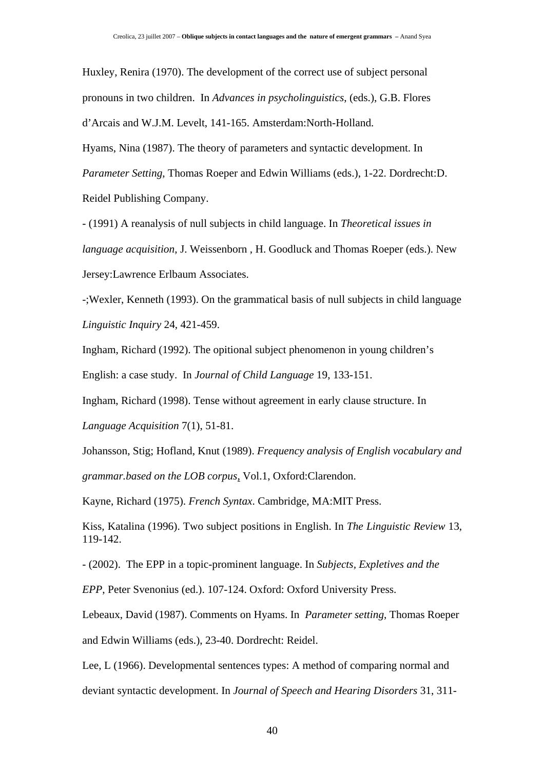Huxley, Renira (1970). The development of the correct use of subject personal pronouns in two children. In *Advances in psycholinguistics*, (eds.), G.B. Flores d'Arcais and W.J.M. Levelt, 141-165. Amsterdam:North-Holland.

Hyams, Nina (1987). The theory of parameters and syntactic development. In *Parameter Setting*, Thomas Roeper and Edwin Williams (eds.), 1-22. Dordrecht:D. Reidel Publishing Company.

- (1991) A reanalysis of null subjects in child language. In *Theoretical issues in language acquisition*, J. Weissenborn , H. Goodluck and Thomas Roeper (eds.). New Jersey:Lawrence Erlbaum Associates.

-;Wexler, Kenneth (1993). On the grammatical basis of null subjects in child language *Linguistic Inquiry* 24, 421-459.

Ingham, Richard (1992). The opitional subject phenomenon in young children's English: a case study. In *Journal of Child Language* 19, 133-151.

Ingham, Richard (1998). Tense without agreement in early clause structure. In

*Language Acquisition* 7(1), 51-81.

Johansson, Stig; Hofland, Knut (1989). *Frequency analysis of English vocabulary and grammar.based on the LOB corpus*, Vol.1, Oxford:Clarendon.

Kayne, Richard (1975). *French Syntax*. Cambridge, MA:MIT Press.

Kiss, Katalina (1996). Two subject positions in English. In *The Linguistic Review* 13, 119-142.

- (2002). The EPP in a topic-prominent language. In *Subjects, Expletives and the* 

*EPP*, Peter Svenonius (ed.). 107-124. Oxford: Oxford University Press.

Lebeaux, David (1987). Comments on Hyams. In *Parameter setting*, Thomas Roeper

and Edwin Williams (eds.), 23-40. Dordrecht: Reidel.

Lee, L (1966). Developmental sentences types: A method of comparing normal and deviant syntactic development. In *Journal of Speech and Hearing Disorders* 31, 311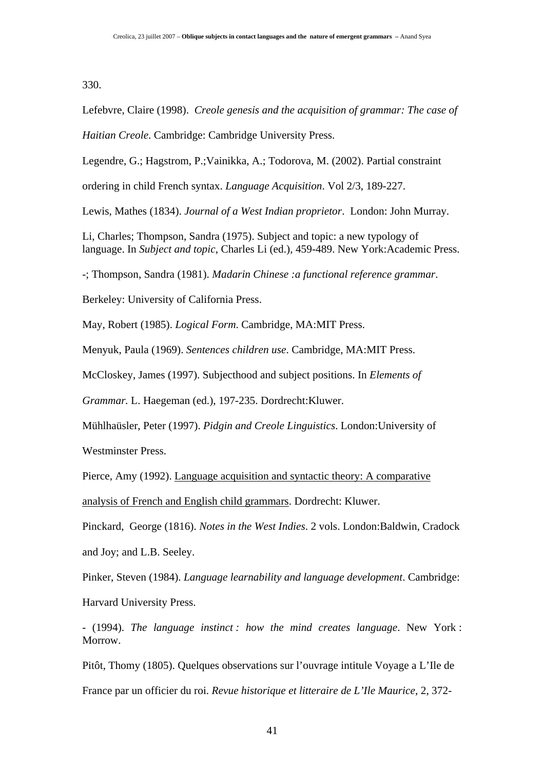330.

Lefebvre, Claire (1998). *Creole genesis and the acquisition of grammar: The case of* 

*Haitian Creole*. Cambridge: Cambridge University Press.

Legendre, G.; Hagstrom, P.;Vainikka, A.; Todorova, M. (2002). Partial constraint

ordering in child French syntax. *Language Acquisition*. Vol 2/3, 189-227.

Lewis, Mathes (1834). *Journal of a West Indian proprietor*. London: John Murray.

Li, Charles; Thompson, Sandra (1975). Subject and topic: a new typology of language. In *Subject and topic*, Charles Li (ed.), 459-489. New York:Academic Press.

-; Thompson, Sandra (1981). *Madarin Chinese :a functional reference grammar*.

Berkeley: University of California Press.

May, Robert (1985). *Logical Form*. Cambridge, MA:MIT Press.

Menyuk, Paula (1969). *Sentences children use*. Cambridge, MA:MIT Press.

McCloskey, James (1997). Subjecthood and subject positions. In *Elements of* 

*Grammar.* L. Haegeman (ed.), 197-235. Dordrecht:Kluwer.

Mühlhaüsler, Peter (1997). *Pidgin and Creole Linguistics*. London:University of

Westminster Press.

Pierce, Amy (1992). Language acquisition and syntactic theory: A comparative

analysis of French and English child grammars. Dordrecht: Kluwer.

Pinckard, George (1816). *Notes in the West Indies*. 2 vols. London:Baldwin, Cradock and Joy; and L.B. Seeley.

Pinker, Steven (1984). *Language learnability and language development*. Cambridge:

Harvard University Press.

- (1994). *The language instinct : how the mind creates language*. New York : Morrow.

Pitôt, Thomy (1805). Quelques observations sur l'ouvrage intitule Voyage a L'Ile de France par un officier du roi. *Revue historique et litteraire de L'Ile Maurice*, 2, 372-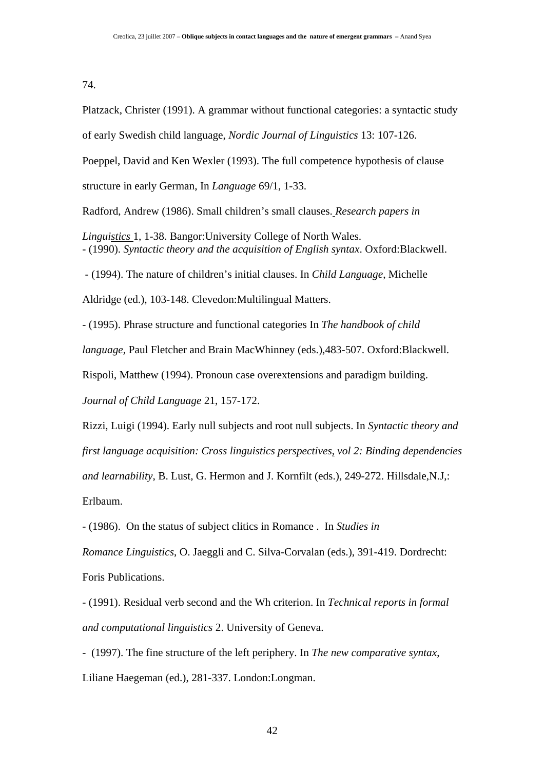#### 74.

Platzack, Christer (1991). A grammar without functional categories: a syntactic study

of early Swedish child language, *Nordic Journal of Linguistics* 13: 107-126.

Poeppel, David and Ken Wexler (1993). The full competence hypothesis of clause

structure in early German, In *Language* 69/1, 1-33.

Radford, Andrew (1986). Small children's small clauses. *Research papers in* 

*Linguistics* 1, 1-38. Bangor:University College of North Wales. - (1990). *Syntactic theory and the acquisition of English syntax*. Oxford:Blackwell.

- (1994). The nature of children's initial clauses. In *Child Language*, Michelle

Aldridge (ed.), 103-148. Clevedon:Multilingual Matters.

- (1995). Phrase structure and functional categories In *The handbook of child* 

*language,* Paul Fletcher and Brain MacWhinney (eds.),483-507. Oxford:Blackwell.

Rispoli, Matthew (1994). Pronoun case overextensions and paradigm building.

*Journal of Child Language* 21, 157-172.

Rizzi, Luigi (1994). Early null subjects and root null subjects. In *Syntactic theory and* 

*first language acquisition: Cross linguistics perspectives*, *vol 2: Binding dependencies* 

*and learnability*, B. Lust, G. Hermon and J. Kornfilt (eds.), 249-272. Hillsdale,N.J,:

Erlbaum.

- (1986). On the status of subject clitics in Romance . In *Studies in* 

*Romance Linguistics*, O. Jaeggli and C. Silva-Corvalan (eds.), 391-419. Dordrecht:

Foris Publications.

- (1991). Residual verb second and the Wh criterion. In *Technical reports in formal and computational linguistics* 2. University of Geneva.

- (1997). The fine structure of the left periphery. In *The new comparative syntax*, Liliane Haegeman (ed.), 281-337. London:Longman.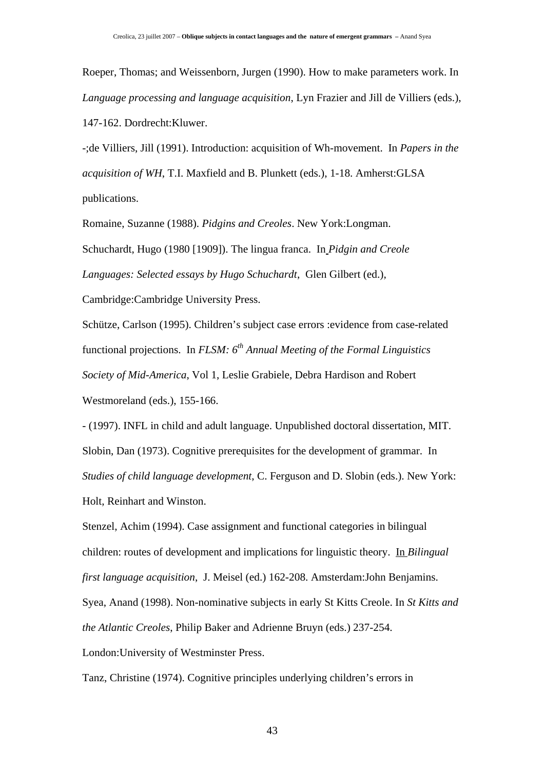Roeper, Thomas; and Weissenborn, Jurgen (1990). How to make parameters work. In *Language processing and language acquisition*, Lyn Frazier and Jill de Villiers (eds.), 147-162. Dordrecht:Kluwer.

-;de Villiers, Jill (1991). Introduction: acquisition of Wh-movement. In *Papers in the acquisition of WH*, T.I. Maxfield and B. Plunkett (eds.), 1-18. Amherst:GLSA publications.

Romaine, Suzanne (1988). *Pidgins and Creoles*. New York:Longman. Schuchardt, Hugo (1980 [1909]). The lingua franca. In *Pidgin and Creole Languages: Selected essays by Hugo Schuchardt*, Glen Gilbert (ed.),

Cambridge:Cambridge University Press.

Schütze, Carlson (1995). Children's subject case errors :evidence from case-related functional projections. In *FLSM: 6th Annual Meeting of the Formal Linguistics Society of Mid-America*, Vol 1, Leslie Grabiele, Debra Hardison and Robert Westmoreland (eds.), 155-166.

- (1997). INFL in child and adult language. Unpublished doctoral dissertation, MIT. Slobin, Dan (1973). Cognitive prerequisites for the development of grammar. In *Studies of child language development*, C. Ferguson and D. Slobin (eds.). New York: Holt, Reinhart and Winston.

Stenzel, Achim (1994). Case assignment and functional categories in bilingual children: routes of development and implications for linguistic theory. In *Bilingual first language acquisition*, J. Meisel (ed.) 162-208. Amsterdam:John Benjamins. Syea, Anand (1998). Non-nominative subjects in early St Kitts Creole. In *St Kitts and the Atlantic Creoles*, Philip Baker and Adrienne Bruyn (eds.) 237-254. London:University of Westminster Press.

Tanz, Christine (1974). Cognitive principles underlying children's errors in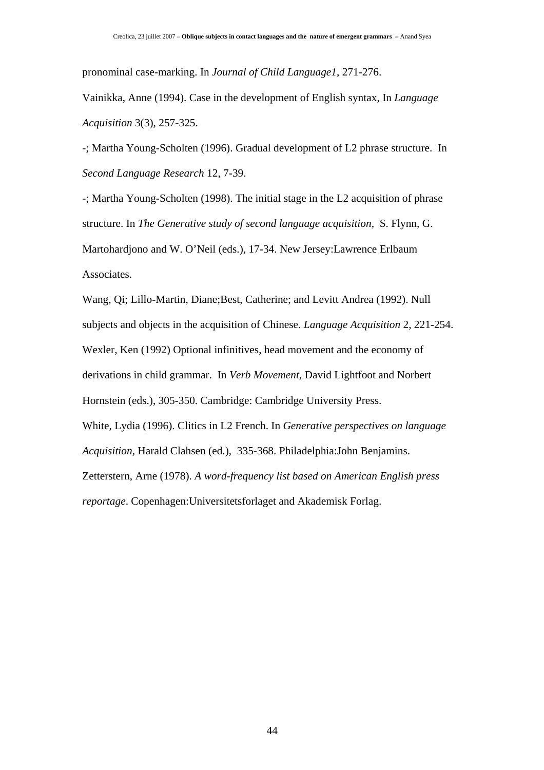pronominal case-marking. In *Journal of Child Language1*, 271-276.

Vainikka, Anne (1994). Case in the development of English syntax, In *Language Acquisition* 3(3), 257-325.

-; Martha Young-Scholten (1996). Gradual development of L2 phrase structure. In *Second Language Research* 12, 7-39.

-; Martha Young-Scholten (1998). The initial stage in the L2 acquisition of phrase structure. In *The Generative study of second language acquisition,* S. Flynn, G. Martohardjono and W. O'Neil (eds.), 17-34. New Jersey:Lawrence Erlbaum Associates.

Wang, Qi; Lillo-Martin, Diane;Best, Catherine; and Levitt Andrea (1992). Null subjects and objects in the acquisition of Chinese. *Language Acquisition* 2, 221-254. Wexler, Ken (1992) Optional infinitives, head movement and the economy of derivations in child grammar. In *Verb Movement*, David Lightfoot and Norbert Hornstein (eds.), 305-350. Cambridge: Cambridge University Press. White, Lydia (1996). Clitics in L2 French. In *Generative perspectives on language Acquisition,* Harald Clahsen (ed.), 335-368. Philadelphia:John Benjamins. Zetterstern, Arne (1978). *A word-frequency list based on American English press reportage*. Copenhagen:Universitetsforlaget and Akademisk Forlag.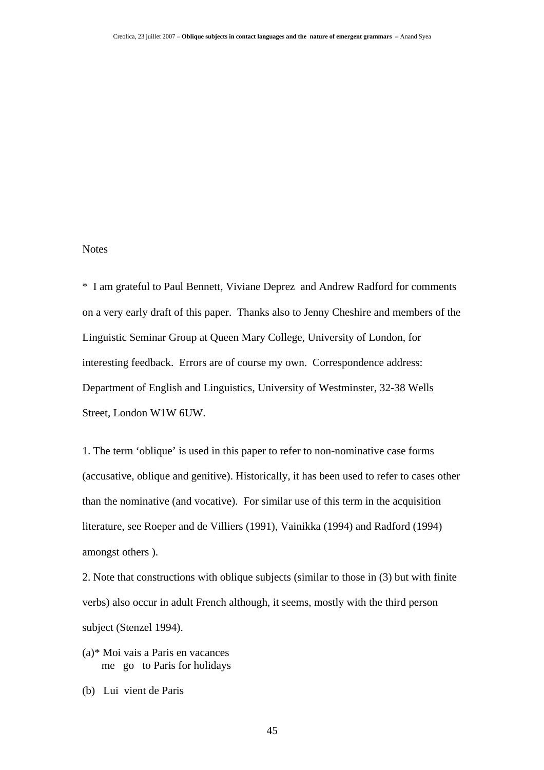## **Notes**

\* I am grateful to Paul Bennett, Viviane Deprez and Andrew Radford for comments on a very early draft of this paper. Thanks also to Jenny Cheshire and members of the Linguistic Seminar Group at Queen Mary College, University of London, for interesting feedback. Errors are of course my own. Correspondence address: Department of English and Linguistics, University of Westminster, 32-38 Wells Street, London W1W 6UW.

1. The term 'oblique' is used in this paper to refer to non-nominative case forms (accusative, oblique and genitive). Historically, it has been used to refer to cases other than the nominative (and vocative). For similar use of this term in the acquisition literature, see Roeper and de Villiers (1991), Vainikka (1994) and Radford (1994) amongst others ).

2. Note that constructions with oblique subjects (similar to those in (3) but with finite verbs) also occur in adult French although, it seems, mostly with the third person subject (Stenzel 1994).

- (a)\* Moi vais a Paris en vacances me go to Paris for holidays
- (b) Lui vient de Paris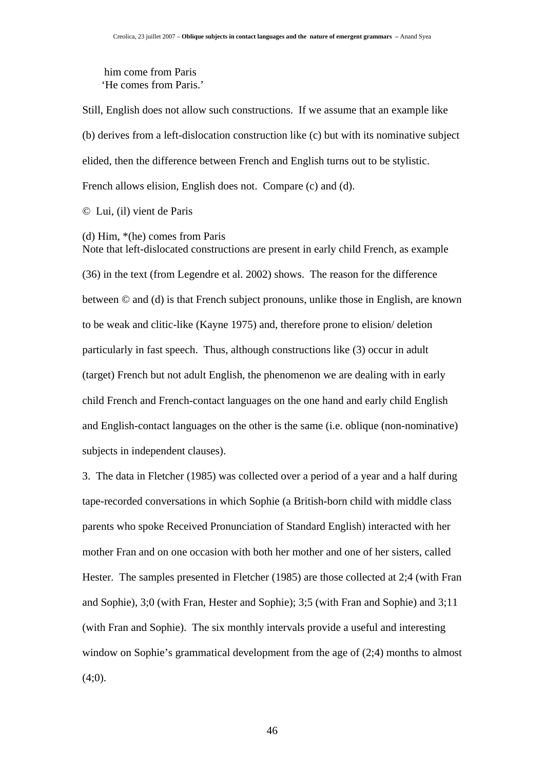him come from Paris 'He comes from Paris.'

Still, English does not allow such constructions. If we assume that an example like (b) derives from a left-dislocation construction like (c) but with its nominative subject elided, then the difference between French and English turns out to be stylistic. French allows elision, English does not. Compare (c) and (d).

© Lui, (il) vient de Paris

(d) Him, \*(he) comes from Paris

Note that left-dislocated constructions are present in early child French, as example (36) in the text (from Legendre et al. 2002) shows. The reason for the difference between © and (d) is that French subject pronouns, unlike those in English, are known to be weak and clitic-like (Kayne 1975) and, therefore prone to elision/ deletion particularly in fast speech. Thus, although constructions like (3) occur in adult (target) French but not adult English, the phenomenon we are dealing with in early child French and French-contact languages on the one hand and early child English and English-contact languages on the other is the same (i.e. oblique (non-nominative) subjects in independent clauses).

3. The data in Fletcher (1985) was collected over a period of a year and a half during tape-recorded conversations in which Sophie (a British-born child with middle class parents who spoke Received Pronunciation of Standard English) interacted with her mother Fran and on one occasion with both her mother and one of her sisters, called Hester. The samples presented in Fletcher (1985) are those collected at 2;4 (with Fran and Sophie), 3;0 (with Fran, Hester and Sophie); 3;5 (with Fran and Sophie) and 3;11 (with Fran and Sophie). The six monthly intervals provide a useful and interesting window on Sophie's grammatical development from the age of (2;4) months to almost  $(4;0)$ .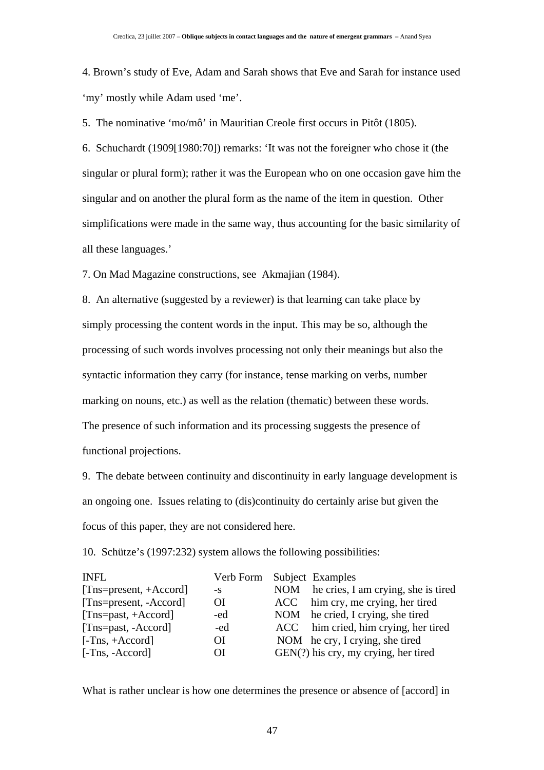4. Brown's study of Eve, Adam and Sarah shows that Eve and Sarah for instance used 'my' mostly while Adam used 'me'.

5. The nominative 'mo/mô' in Mauritian Creole first occurs in Pitôt (1805).

6. Schuchardt (1909[1980:70]) remarks: 'It was not the foreigner who chose it (the singular or plural form); rather it was the European who on one occasion gave him the singular and on another the plural form as the name of the item in question. Other simplifications were made in the same way, thus accounting for the basic similarity of all these languages.'

7. On Mad Magazine constructions, see Akmajian (1984).

8. An alternative (suggested by a reviewer) is that learning can take place by simply processing the content words in the input. This may be so, although the processing of such words involves processing not only their meanings but also the syntactic information they carry (for instance, tense marking on verbs, number marking on nouns, etc.) as well as the relation (thematic) between these words. The presence of such information and its processing suggests the presence of functional projections.

9. The debate between continuity and discontinuity in early language development is an ongoing one. Issues relating to (dis)continuity do certainly arise but given the focus of this paper, they are not considered here.

10. Schütze's (1997:232) system allows the following possibilities:

| <b>INFL</b>              | Verb Form Subject Examples |                                         |
|--------------------------|----------------------------|-----------------------------------------|
| $[Tns=present, +Accord]$ | $-S$                       | NOM he cries, I am crying, she is tired |
| [Tns=present, -Accord]   | <b>OI</b>                  | ACC him cry, me crying, her tired       |
| $[Tns = past, +Accord]$  | -ed                        | NOM he cried, I crying, she tired       |
| [Tns=past, -Accord]      | -ed                        | ACC him cried, him crying, her tired    |
| $[-Tns, +Accord]$        | OІ                         | NOM he cry, I crying, she tired         |
| [-Tns, -Accord]          | OI.                        | $GEN(?)$ his cry, my crying, her tired  |

What is rather unclear is how one determines the presence or absence of [accord] in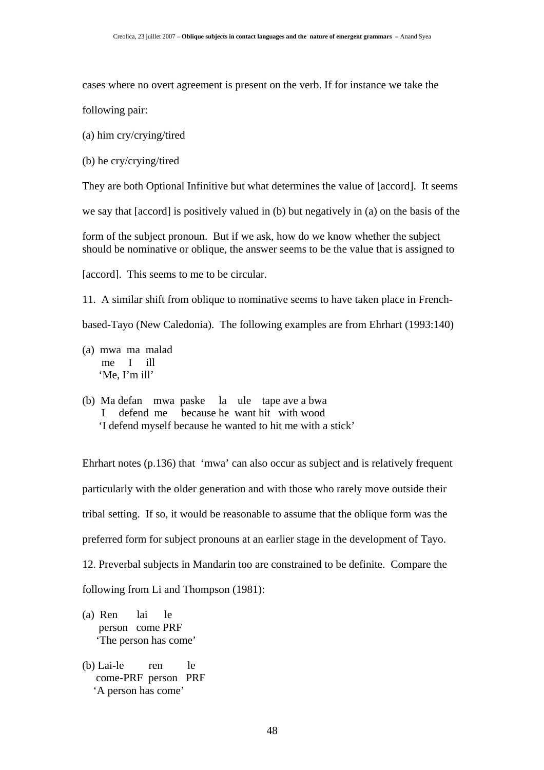cases where no overt agreement is present on the verb. If for instance we take the

following pair:

(a) him cry/crying/tired

(b) he cry/crying/tired

They are both Optional Infinitive but what determines the value of [accord]. It seems

we say that [accord] is positively valued in (b) but negatively in (a) on the basis of the

form of the subject pronoun. But if we ask, how do we know whether the subject should be nominative or oblique, the answer seems to be the value that is assigned to

[accord]. This seems to me to be circular.

11. A similar shift from oblique to nominative seems to have taken place in French-

based-Tayo (New Caledonia). The following examples are from Ehrhart (1993:140)

- (a) mwa ma malad me I ill 'Me, I'm ill'
- (b) Ma defan mwa paske la ule tape ave a bwa defend me because he want hit with wood 'I defend myself because he wanted to hit me with a stick'

Ehrhart notes (p.136) that 'mwa' can also occur as subject and is relatively frequent particularly with the older generation and with those who rarely move outside their tribal setting. If so, it would be reasonable to assume that the oblique form was the preferred form for subject pronouns at an earlier stage in the development of Tayo. 12. Preverbal subjects in Mandarin too are constrained to be definite. Compare the following from Li and Thompson (1981):

- (a) Ren lai le person come PRF 'The person has come'
- (b) Lai-le ren le come-PRF person PRF 'A person has come'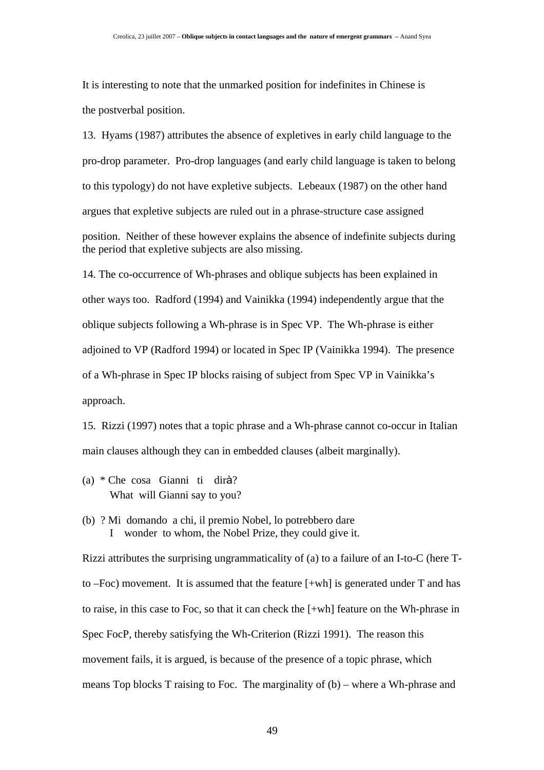It is interesting to note that the unmarked position for indefinites in Chinese is the postverbal position.

13. Hyams (1987) attributes the absence of expletives in early child language to the pro-drop parameter. Pro-drop languages (and early child language is taken to belong to this typology) do not have expletive subjects. Lebeaux (1987) on the other hand argues that expletive subjects are ruled out in a phrase-structure case assigned position. Neither of these however explains the absence of indefinite subjects during the period that expletive subjects are also missing.

14. The co-occurrence of Wh-phrases and oblique subjects has been explained in other ways too. Radford (1994) and Vainikka (1994) independently argue that the oblique subjects following a Wh-phrase is in Spec VP. The Wh-phrase is either adjoined to VP (Radford 1994) or located in Spec IP (Vainikka 1994). The presence of a Wh-phrase in Spec IP blocks raising of subject from Spec VP in Vainikka's approach.

15. Rizzi (1997) notes that a topic phrase and a Wh-phrase cannot co-occur in Italian main clauses although they can in embedded clauses (albeit marginally).

- (a) \* Che cosa Gianni ti dirà? What will Gianni say to you?
- (b) ? Mi domando a chi, il premio Nobel, lo potrebbero dare I wonder to whom, the Nobel Prize, they could give it.

Rizzi attributes the surprising ungrammaticality of (a) to a failure of an I-to-C (here Tto –Foc) movement. It is assumed that the feature [+wh] is generated under T and has to raise, in this case to Foc, so that it can check the [+wh] feature on the Wh-phrase in Spec FocP, thereby satisfying the Wh-Criterion (Rizzi 1991). The reason this movement fails, it is argued, is because of the presence of a topic phrase, which means Top blocks T raising to Foc. The marginality of (b) – where a Wh-phrase and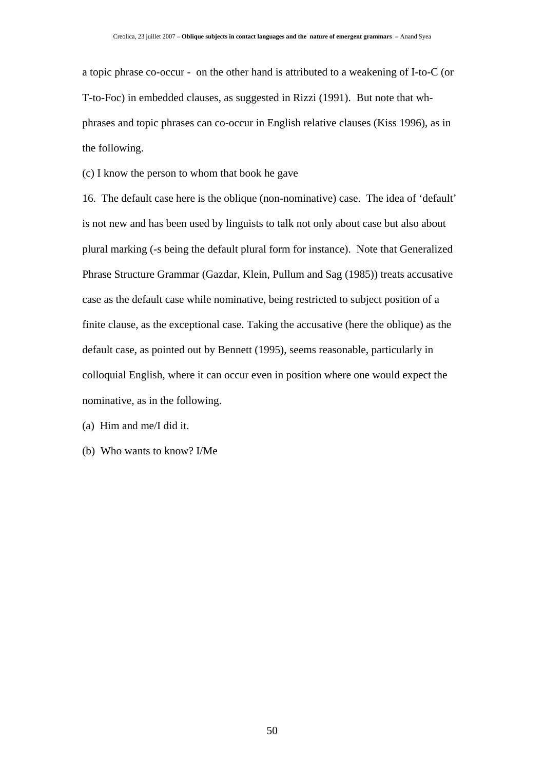a topic phrase co-occur - on the other hand is attributed to a weakening of I-to-C (or T-to-Foc) in embedded clauses, as suggested in Rizzi (1991). But note that whphrases and topic phrases can co-occur in English relative clauses (Kiss 1996), as in the following.

(c) I know the person to whom that book he gave

16. The default case here is the oblique (non-nominative) case. The idea of 'default' is not new and has been used by linguists to talk not only about case but also about plural marking (-s being the default plural form for instance). Note that Generalized Phrase Structure Grammar (Gazdar, Klein, Pullum and Sag (1985)) treats accusative case as the default case while nominative, being restricted to subject position of a finite clause, as the exceptional case. Taking the accusative (here the oblique) as the default case, as pointed out by Bennett (1995), seems reasonable, particularly in colloquial English, where it can occur even in position where one would expect the nominative, as in the following.

(a) Him and me/I did it.

(b) Who wants to know? I/Me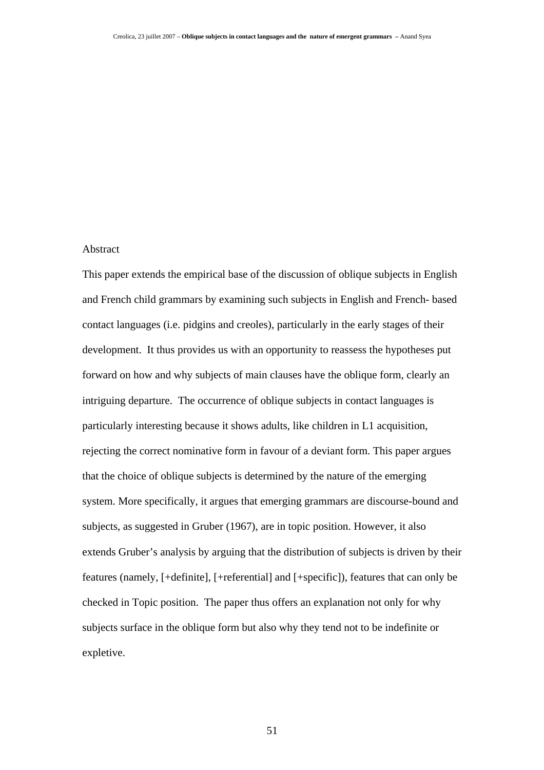## Abstract

This paper extends the empirical base of the discussion of oblique subjects in English and French child grammars by examining such subjects in English and French- based contact languages (i.e. pidgins and creoles), particularly in the early stages of their development. It thus provides us with an opportunity to reassess the hypotheses put forward on how and why subjects of main clauses have the oblique form, clearly an intriguing departure. The occurrence of oblique subjects in contact languages is particularly interesting because it shows adults, like children in L1 acquisition, rejecting the correct nominative form in favour of a deviant form. This paper argues that the choice of oblique subjects is determined by the nature of the emerging system. More specifically, it argues that emerging grammars are discourse-bound and subjects, as suggested in Gruber (1967), are in topic position. However, it also extends Gruber's analysis by arguing that the distribution of subjects is driven by their features (namely, [+definite], [+referential] and [+specific]), features that can only be checked in Topic position. The paper thus offers an explanation not only for why subjects surface in the oblique form but also why they tend not to be indefinite or expletive.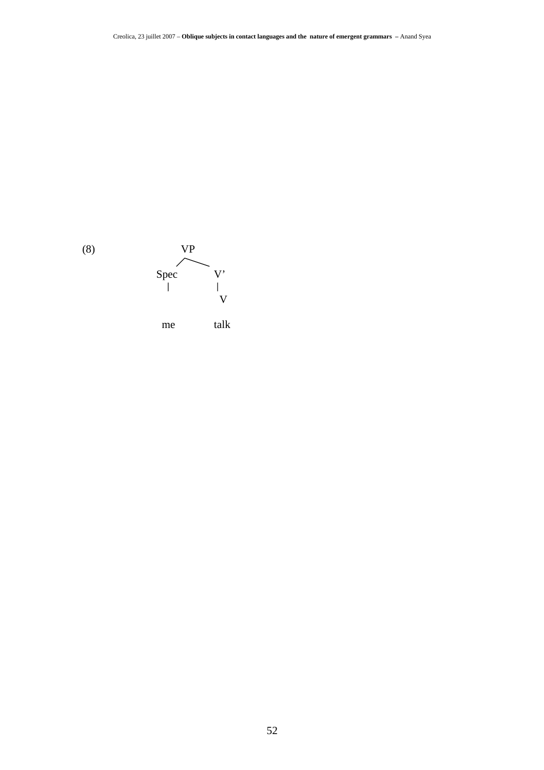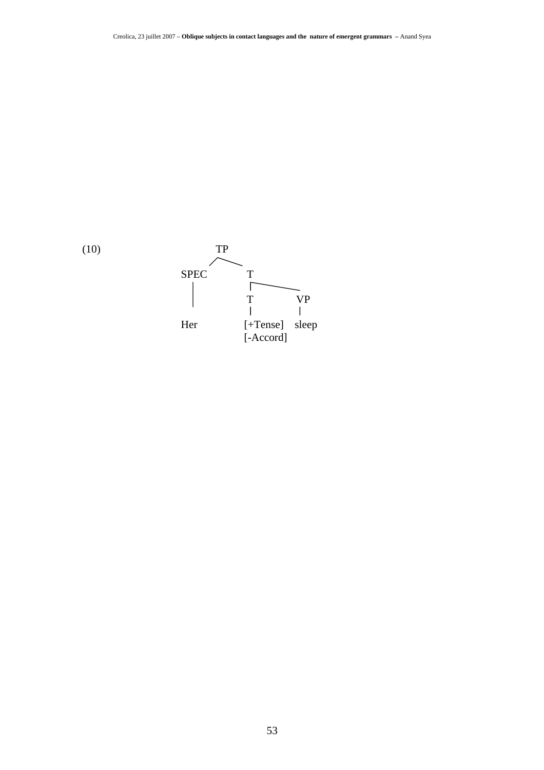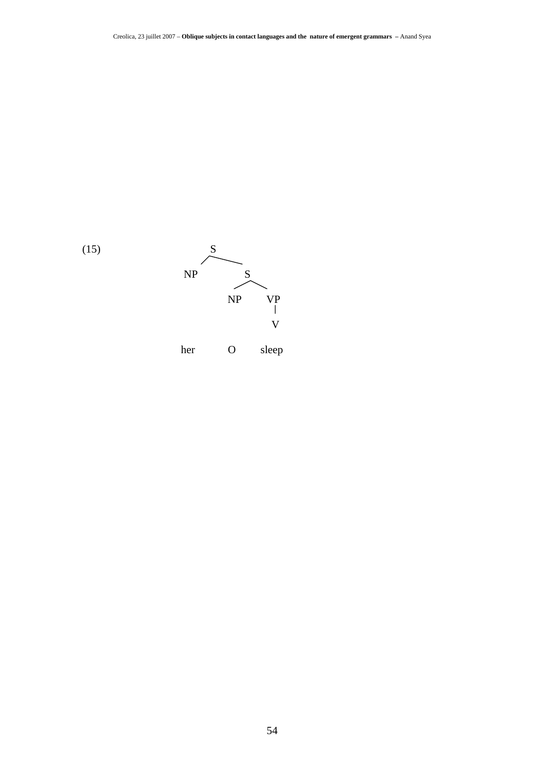